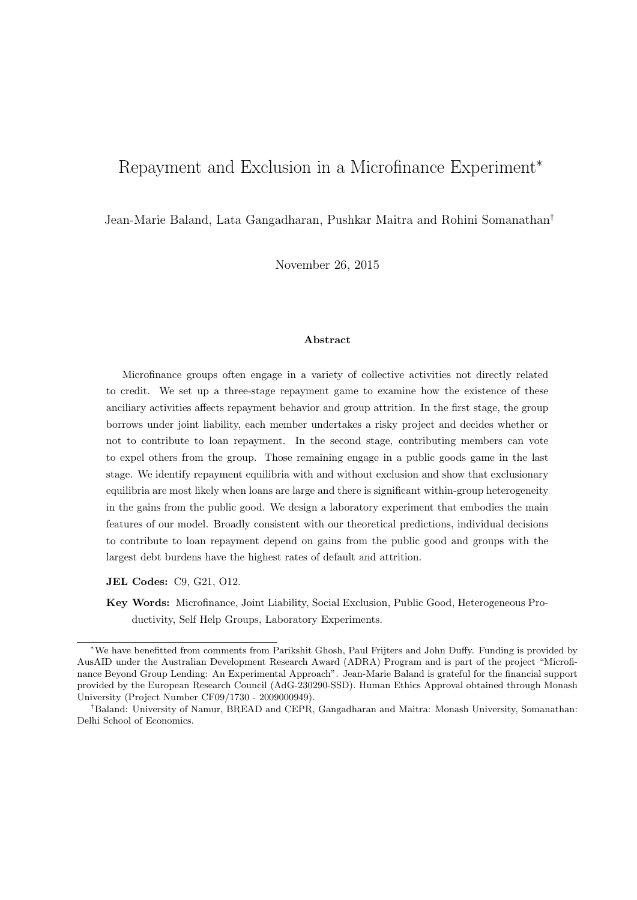# Repayment and Exclusion in a Microfinance Experiment<sup>∗</sup>

Jean-Marie Baland, Lata Gangadharan, Pushkar Maitra and Rohini Somanathan†

November 26, 2015

#### Abstract

Microfinance groups often engage in a variety of collective activities not directly related to credit. We set up a three-stage repayment game to examine how the existence of these anciliary activities affects repayment behavior and group attrition. In the first stage, the group borrows under joint liability, each member undertakes a risky project and decides whether or not to contribute to loan repayment. In the second stage, contributing members can vote to expel others from the group. Those remaining engage in a public goods game in the last stage. We identify repayment equilibria with and without exclusion and show that exclusionary equilibria are most likely when loans are large and there is significant within-group heterogeneity in the gains from the public good. We design a laboratory experiment that embodies the main features of our model. Broadly consistent with our theoretical predictions, individual decisions to contribute to loan repayment depend on gains from the public good and groups with the largest debt burdens have the highest rates of default and attrition.

JEL Codes: C9, G21, O12.

Key Words: Microfinance, Joint Liability, Social Exclusion, Public Good, Heterogeneous Productivity, Self Help Groups, Laboratory Experiments.

<sup>∗</sup>We have benefitted from comments from Parikshit Ghosh, Paul Frijters and John Duffy. Funding is provided by AusAID under the Australian Development Research Award (ADRA) Program and is part of the project "Microfinance Beyond Group Lending: An Experimental Approach". Jean-Marie Baland is grateful for the financial support provided by the European Research Council (AdG-230290-SSD). Human Ethics Approval obtained through Monash University (Project Number CF09/1730 - 2009000949).

<sup>†</sup>Baland: University of Namur, BREAD and CEPR, Gangadharan and Maitra: Monash University, Somanathan: Delhi School of Economics.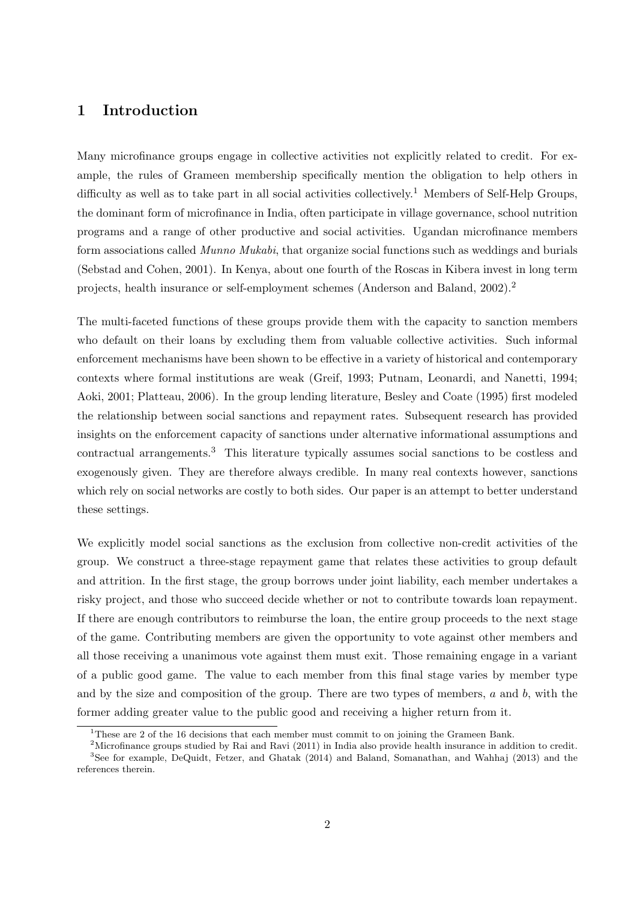## 1 Introduction

Many microfinance groups engage in collective activities not explicitly related to credit. For example, the rules of Grameen membership specifically mention the obligation to help others in difficulty as well as to take part in all social activities collectively.<sup>1</sup> Members of Self-Help Groups, the dominant form of microfinance in India, often participate in village governance, school nutrition programs and a range of other productive and social activities. Ugandan microfinance members form associations called Munno Mukabi, that organize social functions such as weddings and burials (Sebstad and Cohen, 2001). In Kenya, about one fourth of the Roscas in Kibera invest in long term projects, health insurance or self-employment schemes (Anderson and Baland, 2002).<sup>2</sup>

The multi-faceted functions of these groups provide them with the capacity to sanction members who default on their loans by excluding them from valuable collective activities. Such informal enforcement mechanisms have been shown to be effective in a variety of historical and contemporary contexts where formal institutions are weak (Greif, 1993; Putnam, Leonardi, and Nanetti, 1994; Aoki, 2001; Platteau, 2006). In the group lending literature, Besley and Coate (1995) first modeled the relationship between social sanctions and repayment rates. Subsequent research has provided insights on the enforcement capacity of sanctions under alternative informational assumptions and contractual arrangements.<sup>3</sup> This literature typically assumes social sanctions to be costless and exogenously given. They are therefore always credible. In many real contexts however, sanctions which rely on social networks are costly to both sides. Our paper is an attempt to better understand these settings.

We explicitly model social sanctions as the exclusion from collective non-credit activities of the group. We construct a three-stage repayment game that relates these activities to group default and attrition. In the first stage, the group borrows under joint liability, each member undertakes a risky project, and those who succeed decide whether or not to contribute towards loan repayment. If there are enough contributors to reimburse the loan, the entire group proceeds to the next stage of the game. Contributing members are given the opportunity to vote against other members and all those receiving a unanimous vote against them must exit. Those remaining engage in a variant of a public good game. The value to each member from this final stage varies by member type and by the size and composition of the group. There are two types of members,  $a$  and  $b$ , with the former adding greater value to the public good and receiving a higher return from it.

<sup>&</sup>lt;sup>1</sup>These are 2 of the 16 decisions that each member must commit to on joining the Grameen Bank.

<sup>&</sup>lt;sup>2</sup>Microfinance groups studied by Rai and Ravi (2011) in India also provide health insurance in addition to credit. <sup>3</sup>See for example, DeQuidt, Fetzer, and Ghatak (2014) and Baland, Somanathan, and Wahhaj (2013) and the references therein.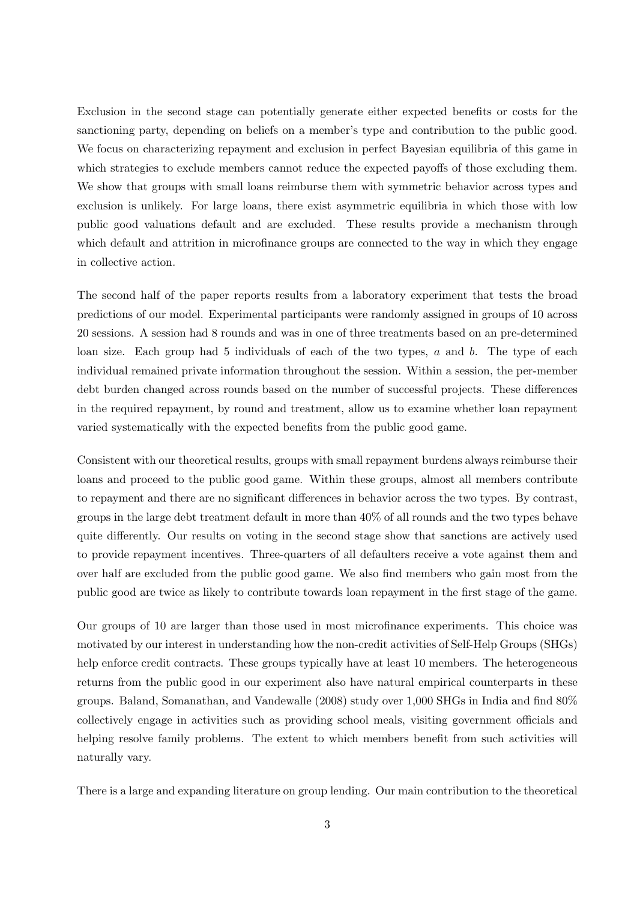Exclusion in the second stage can potentially generate either expected benefits or costs for the sanctioning party, depending on beliefs on a member's type and contribution to the public good. We focus on characterizing repayment and exclusion in perfect Bayesian equilibria of this game in which strategies to exclude members cannot reduce the expected payoffs of those excluding them. We show that groups with small loans reimburse them with symmetric behavior across types and exclusion is unlikely. For large loans, there exist asymmetric equilibria in which those with low public good valuations default and are excluded. These results provide a mechanism through which default and attrition in microfinance groups are connected to the way in which they engage in collective action.

The second half of the paper reports results from a laboratory experiment that tests the broad predictions of our model. Experimental participants were randomly assigned in groups of 10 across 20 sessions. A session had 8 rounds and was in one of three treatments based on an pre-determined loan size. Each group had 5 individuals of each of the two types,  $a$  and  $b$ . The type of each individual remained private information throughout the session. Within a session, the per-member debt burden changed across rounds based on the number of successful projects. These differences in the required repayment, by round and treatment, allow us to examine whether loan repayment varied systematically with the expected benefits from the public good game.

Consistent with our theoretical results, groups with small repayment burdens always reimburse their loans and proceed to the public good game. Within these groups, almost all members contribute to repayment and there are no significant differences in behavior across the two types. By contrast, groups in the large debt treatment default in more than 40% of all rounds and the two types behave quite differently. Our results on voting in the second stage show that sanctions are actively used to provide repayment incentives. Three-quarters of all defaulters receive a vote against them and over half are excluded from the public good game. We also find members who gain most from the public good are twice as likely to contribute towards loan repayment in the first stage of the game.

Our groups of 10 are larger than those used in most microfinance experiments. This choice was motivated by our interest in understanding how the non-credit activities of Self-Help Groups (SHGs) help enforce credit contracts. These groups typically have at least 10 members. The heterogeneous returns from the public good in our experiment also have natural empirical counterparts in these groups. Baland, Somanathan, and Vandewalle (2008) study over 1,000 SHGs in India and find 80% collectively engage in activities such as providing school meals, visiting government officials and helping resolve family problems. The extent to which members benefit from such activities will naturally vary.

There is a large and expanding literature on group lending. Our main contribution to the theoretical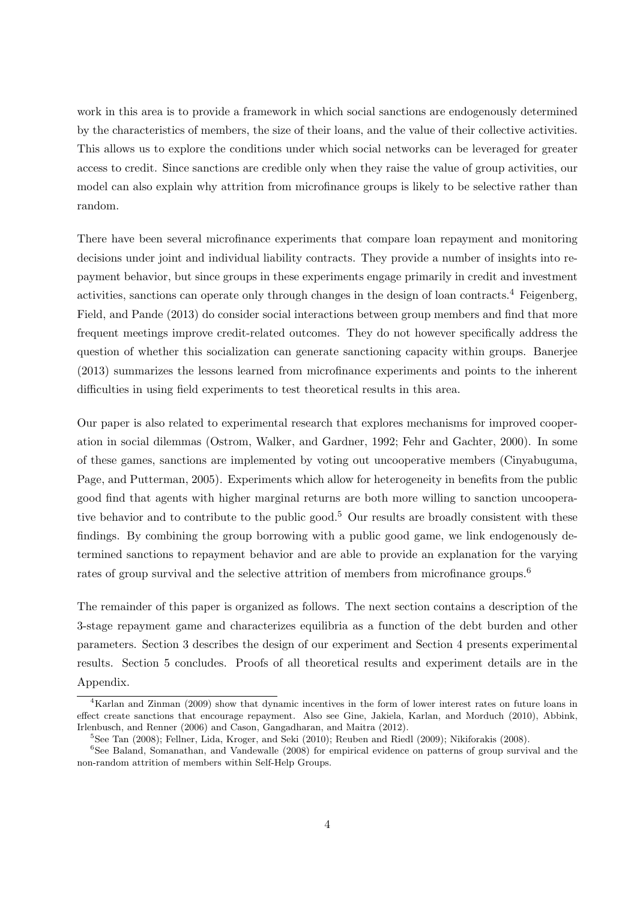work in this area is to provide a framework in which social sanctions are endogenously determined by the characteristics of members, the size of their loans, and the value of their collective activities. This allows us to explore the conditions under which social networks can be leveraged for greater access to credit. Since sanctions are credible only when they raise the value of group activities, our model can also explain why attrition from microfinance groups is likely to be selective rather than random.

There have been several microfinance experiments that compare loan repayment and monitoring decisions under joint and individual liability contracts. They provide a number of insights into repayment behavior, but since groups in these experiments engage primarily in credit and investment activities, sanctions can operate only through changes in the design of loan contracts.<sup>4</sup> Feigenberg, Field, and Pande (2013) do consider social interactions between group members and find that more frequent meetings improve credit-related outcomes. They do not however specifically address the question of whether this socialization can generate sanctioning capacity within groups. Banerjee (2013) summarizes the lessons learned from microfinance experiments and points to the inherent difficulties in using field experiments to test theoretical results in this area.

Our paper is also related to experimental research that explores mechanisms for improved cooperation in social dilemmas (Ostrom, Walker, and Gardner, 1992; Fehr and Gachter, 2000). In some of these games, sanctions are implemented by voting out uncooperative members (Cinyabuguma, Page, and Putterman, 2005). Experiments which allow for heterogeneity in benefits from the public good find that agents with higher marginal returns are both more willing to sanction uncooperative behavior and to contribute to the public good.<sup>5</sup> Our results are broadly consistent with these findings. By combining the group borrowing with a public good game, we link endogenously determined sanctions to repayment behavior and are able to provide an explanation for the varying rates of group survival and the selective attrition of members from microfinance groups.<sup>6</sup>

The remainder of this paper is organized as follows. The next section contains a description of the 3-stage repayment game and characterizes equilibria as a function of the debt burden and other parameters. Section 3 describes the design of our experiment and Section 4 presents experimental results. Section 5 concludes. Proofs of all theoretical results and experiment details are in the Appendix.

<sup>4</sup>Karlan and Zinman (2009) show that dynamic incentives in the form of lower interest rates on future loans in effect create sanctions that encourage repayment. Also see Gine, Jakiela, Karlan, and Morduch (2010), Abbink, Irlenbusch, and Renner (2006) and Cason, Gangadharan, and Maitra (2012).

<sup>&</sup>lt;sup>5</sup>See Tan (2008); Fellner, Lida, Kroger, and Seki (2010); Reuben and Riedl (2009); Nikiforakis (2008).

<sup>&</sup>lt;sup>6</sup>See Baland, Somanathan, and Vandewalle (2008) for empirical evidence on patterns of group survival and the non-random attrition of members within Self-Help Groups.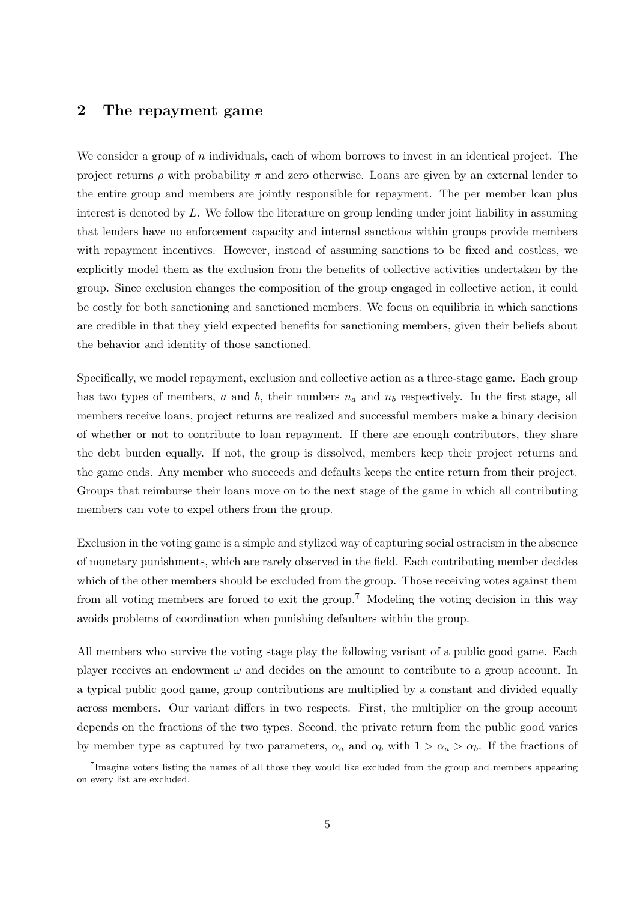### 2 The repayment game

We consider a group of  $n$  individuals, each of whom borrows to invest in an identical project. The project returns  $\rho$  with probability  $\pi$  and zero otherwise. Loans are given by an external lender to the entire group and members are jointly responsible for repayment. The per member loan plus interest is denoted by L. We follow the literature on group lending under joint liability in assuming that lenders have no enforcement capacity and internal sanctions within groups provide members with repayment incentives. However, instead of assuming sanctions to be fixed and costless, we explicitly model them as the exclusion from the benefits of collective activities undertaken by the group. Since exclusion changes the composition of the group engaged in collective action, it could be costly for both sanctioning and sanctioned members. We focus on equilibria in which sanctions are credible in that they yield expected benefits for sanctioning members, given their beliefs about the behavior and identity of those sanctioned.

Specifically, we model repayment, exclusion and collective action as a three-stage game. Each group has two types of members,  $a$  and  $b$ , their numbers  $n_a$  and  $n_b$  respectively. In the first stage, all members receive loans, project returns are realized and successful members make a binary decision of whether or not to contribute to loan repayment. If there are enough contributors, they share the debt burden equally. If not, the group is dissolved, members keep their project returns and the game ends. Any member who succeeds and defaults keeps the entire return from their project. Groups that reimburse their loans move on to the next stage of the game in which all contributing members can vote to expel others from the group.

Exclusion in the voting game is a simple and stylized way of capturing social ostracism in the absence of monetary punishments, which are rarely observed in the field. Each contributing member decides which of the other members should be excluded from the group. Those receiving votes against them from all voting members are forced to exit the group.<sup>7</sup> Modeling the voting decision in this way avoids problems of coordination when punishing defaulters within the group.

All members who survive the voting stage play the following variant of a public good game. Each player receives an endowment  $\omega$  and decides on the amount to contribute to a group account. In a typical public good game, group contributions are multiplied by a constant and divided equally across members. Our variant differs in two respects. First, the multiplier on the group account depends on the fractions of the two types. Second, the private return from the public good varies by member type as captured by two parameters,  $\alpha_a$  and  $\alpha_b$  with  $1 > \alpha_a > \alpha_b$ . If the fractions of

<sup>&</sup>lt;sup>7</sup>Imagine voters listing the names of all those they would like excluded from the group and members appearing on every list are excluded.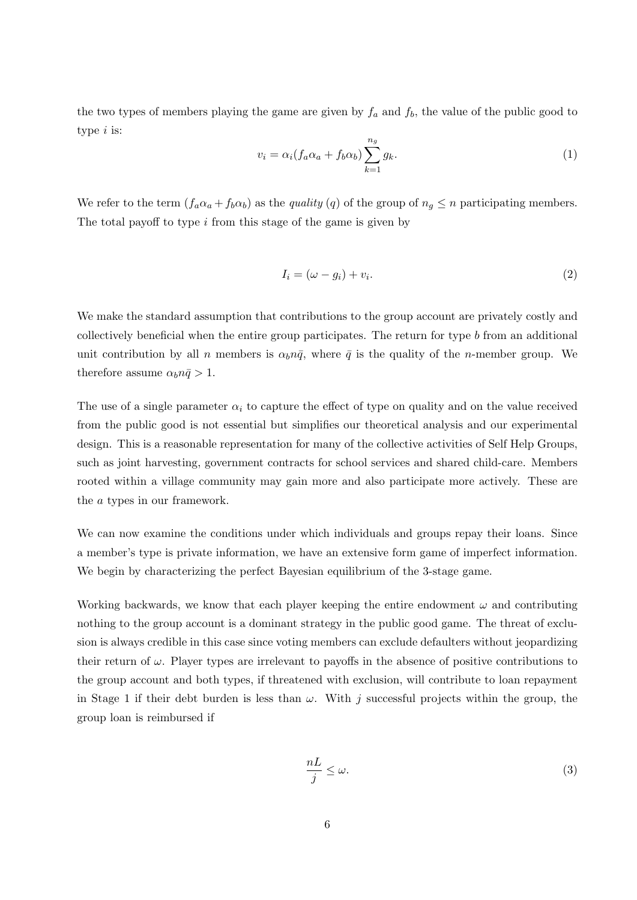the two types of members playing the game are given by  $f_a$  and  $f_b$ , the value of the public good to type *i* is:

$$
v_i = \alpha_i (f_a \alpha_a + f_b \alpha_b) \sum_{k=1}^{n_g} g_k.
$$
\n<sup>(1)</sup>

We refer to the term  $(f_a\alpha_a + f_b\alpha_b)$  as the *quality* (q) of the group of  $n_g \le n$  participating members. The total payoff to type  $i$  from this stage of the game is given by

$$
I_i = (\omega - g_i) + v_i. \tag{2}
$$

We make the standard assumption that contributions to the group account are privately costly and collectively beneficial when the entire group participates. The return for type b from an additional unit contribution by all n members is  $\alpha_b n\bar{q}$ , where  $\bar{q}$  is the quality of the n-member group. We therefore assume  $\alpha_b n \bar{q} > 1$ .

The use of a single parameter  $\alpha_i$  to capture the effect of type on quality and on the value received from the public good is not essential but simplifies our theoretical analysis and our experimental design. This is a reasonable representation for many of the collective activities of Self Help Groups, such as joint harvesting, government contracts for school services and shared child-care. Members rooted within a village community may gain more and also participate more actively. These are the a types in our framework.

We can now examine the conditions under which individuals and groups repay their loans. Since a member's type is private information, we have an extensive form game of imperfect information. We begin by characterizing the perfect Bayesian equilibrium of the 3-stage game.

Working backwards, we know that each player keeping the entire endowment  $\omega$  and contributing nothing to the group account is a dominant strategy in the public good game. The threat of exclusion is always credible in this case since voting members can exclude defaulters without jeopardizing their return of  $\omega$ . Player types are irrelevant to payoffs in the absence of positive contributions to the group account and both types, if threatened with exclusion, will contribute to loan repayment in Stage 1 if their debt burden is less than  $\omega$ . With j successful projects within the group, the group loan is reimbursed if

$$
\frac{nL}{j} \le \omega. \tag{3}
$$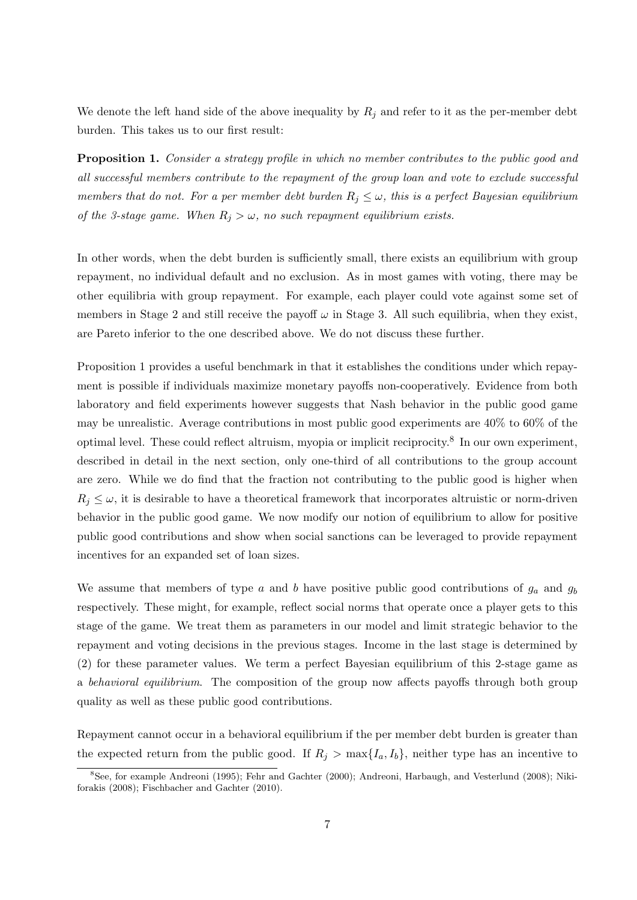We denote the left hand side of the above inequality by  $R_j$  and refer to it as the per-member debt burden. This takes us to our first result:

Proposition 1. Consider a strategy profile in which no member contributes to the public good and all successful members contribute to the repayment of the group loan and vote to exclude successful members that do not. For a per member debt burden  $R_j \leq \omega$ , this is a perfect Bayesian equilibrium of the 3-stage game. When  $R_j > \omega$ , no such repayment equilibrium exists.

In other words, when the debt burden is sufficiently small, there exists an equilibrium with group repayment, no individual default and no exclusion. As in most games with voting, there may be other equilibria with group repayment. For example, each player could vote against some set of members in Stage 2 and still receive the payoff  $\omega$  in Stage 3. All such equilibria, when they exist, are Pareto inferior to the one described above. We do not discuss these further.

Proposition 1 provides a useful benchmark in that it establishes the conditions under which repayment is possible if individuals maximize monetary payoffs non-cooperatively. Evidence from both laboratory and field experiments however suggests that Nash behavior in the public good game may be unrealistic. Average contributions in most public good experiments are 40% to 60% of the optimal level. These could reflect altruism, myopia or implicit reciprocity.<sup>8</sup> In our own experiment, described in detail in the next section, only one-third of all contributions to the group account are zero. While we do find that the fraction not contributing to the public good is higher when  $R_j \leq \omega$ , it is desirable to have a theoretical framework that incorporates altruistic or norm-driven behavior in the public good game. We now modify our notion of equilibrium to allow for positive public good contributions and show when social sanctions can be leveraged to provide repayment incentives for an expanded set of loan sizes.

We assume that members of type a and b have positive public good contributions of  $g_a$  and  $g_b$ respectively. These might, for example, reflect social norms that operate once a player gets to this stage of the game. We treat them as parameters in our model and limit strategic behavior to the repayment and voting decisions in the previous stages. Income in the last stage is determined by (2) for these parameter values. We term a perfect Bayesian equilibrium of this 2-stage game as a behavioral equilibrium. The composition of the group now affects payoffs through both group quality as well as these public good contributions.

Repayment cannot occur in a behavioral equilibrium if the per member debt burden is greater than the expected return from the public good. If  $R_i > \max\{I_a, I_b\}$ , neither type has an incentive to

<sup>8</sup>See, for example Andreoni (1995); Fehr and Gachter (2000); Andreoni, Harbaugh, and Vesterlund (2008); Nikiforakis (2008); Fischbacher and Gachter (2010).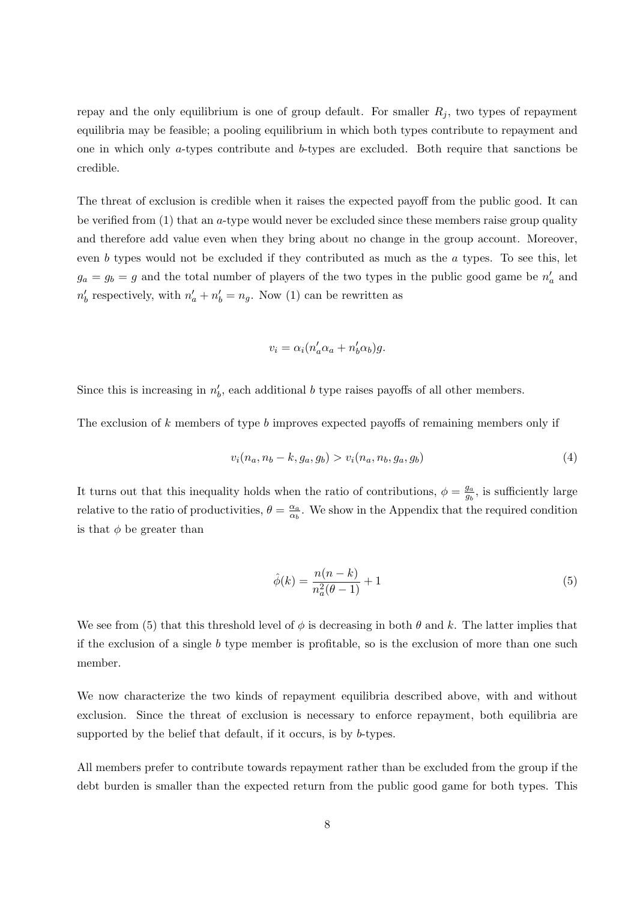repay and the only equilibrium is one of group default. For smaller  $R_i$ , two types of repayment equilibria may be feasible; a pooling equilibrium in which both types contribute to repayment and one in which only a-types contribute and b-types are excluded. Both require that sanctions be credible.

The threat of exclusion is credible when it raises the expected payoff from the public good. It can be verified from (1) that an a-type would never be excluded since these members raise group quality and therefore add value even when they bring about no change in the group account. Moreover, even b types would not be excluded if they contributed as much as the  $a$  types. To see this, let  $g_a = g_b = g$  and the total number of players of the two types in the public good game be  $n'_a$  and  $n'_b$  respectively, with  $n'_a + n'_b = n_g$ . Now (1) can be rewritten as

$$
v_i = \alpha_i (n'_a \alpha_a + n'_b \alpha_b) g.
$$

Since this is increasing in  $n'_b$ , each additional b type raises payoffs of all other members.

The exclusion of k members of type b improves expected payoffs of remaining members only if

$$
v_i(n_a, n_b - k, g_a, g_b) > v_i(n_a, n_b, g_a, g_b)
$$
\n<sup>(4)</sup>

It turns out that this inequality holds when the ratio of contributions,  $\phi = \frac{g_a}{g}$  $\frac{g_a}{g_b}$ , is sufficiently large relative to the ratio of productivities,  $\theta = \frac{\alpha_a}{\alpha_b}$  $\frac{\alpha_a}{\alpha_b}$ . We show in the Appendix that the required condition is that  $\phi$  be greater than

$$
\hat{\phi}(k) = \frac{n(n-k)}{n_a^2(\theta - 1)} + 1\tag{5}
$$

We see from (5) that this threshold level of  $\phi$  is decreasing in both  $\theta$  and k. The latter implies that if the exclusion of a single b type member is profitable, so is the exclusion of more than one such member.

We now characterize the two kinds of repayment equilibria described above, with and without exclusion. Since the threat of exclusion is necessary to enforce repayment, both equilibria are supported by the belief that default, if it occurs, is by b-types.

All members prefer to contribute towards repayment rather than be excluded from the group if the debt burden is smaller than the expected return from the public good game for both types. This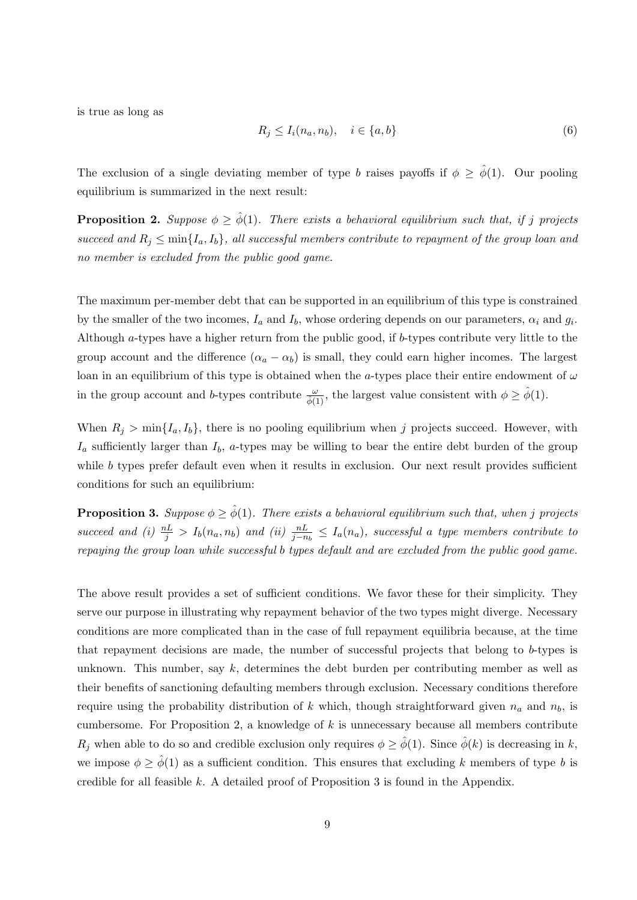is true as long as

$$
R_j \le I_i(n_a, n_b), \quad i \in \{a, b\} \tag{6}
$$

The exclusion of a single deviating member of type b raises payoffs if  $\phi \geq \hat{\phi}(1)$ . Our pooling equilibrium is summarized in the next result:

**Proposition 2.** Suppose  $\phi \geq \hat{\phi}(1)$ . There exists a behavioral equilibrium such that, if j projects succeed and  $R_i \n\t\leq \min\{I_a, I_b\}$ , all successful members contribute to repayment of the group loan and no member is excluded from the public good game.

The maximum per-member debt that can be supported in an equilibrium of this type is constrained by the smaller of the two incomes,  $I_a$  and  $I_b$ , whose ordering depends on our parameters,  $\alpha_i$  and  $g_i$ . Although a-types have a higher return from the public good, if b-types contribute very little to the group account and the difference  $(\alpha_a - \alpha_b)$  is small, they could earn higher incomes. The largest loan in an equilibrium of this type is obtained when the a-types place their entire endowment of  $\omega$ in the group account and b-types contribute  $\frac{\omega}{\hat{\phi}(1)}$ , the largest value consistent with  $\phi \geq \hat{\phi}(1)$ .

When  $R_j > \min\{I_a, I_b\}$ , there is no pooling equilibrium when j projects succeed. However, with  $I_a$  sufficiently larger than  $I_b$ , a-types may be willing to bear the entire debt burden of the group while  $b$  types prefer default even when it results in exclusion. Our next result provides sufficient conditions for such an equilibrium:

**Proposition 3.** Suppose  $\phi \geq \hat{\phi}(1)$ . There exists a behavioral equilibrium such that, when j projects succeed and (i)  $\frac{nL}{j} > I_b(n_a, n_b)$  and (ii)  $\frac{nL}{j-n_b} \leq I_a(n_a)$ , successful a type members contribute to repaying the group loan while successful b types default and are excluded from the public good game.

The above result provides a set of sufficient conditions. We favor these for their simplicity. They serve our purpose in illustrating why repayment behavior of the two types might diverge. Necessary conditions are more complicated than in the case of full repayment equilibria because, at the time that repayment decisions are made, the number of successful projects that belong to b-types is unknown. This number, say  $k$ , determines the debt burden per contributing member as well as their benefits of sanctioning defaulting members through exclusion. Necessary conditions therefore require using the probability distribution of k which, though straightforward given  $n_a$  and  $n_b$ , is cumbersome. For Proposition 2, a knowledge of  $k$  is unnecessary because all members contribute  $R_j$  when able to do so and credible exclusion only requires  $\phi \geq \hat{\phi}(1)$ . Since  $\hat{\phi}(k)$  is decreasing in k, we impose  $\phi \geq \hat{\phi}(1)$  as a sufficient condition. This ensures that excluding k members of type b is credible for all feasible k. A detailed proof of Proposition 3 is found in the Appendix.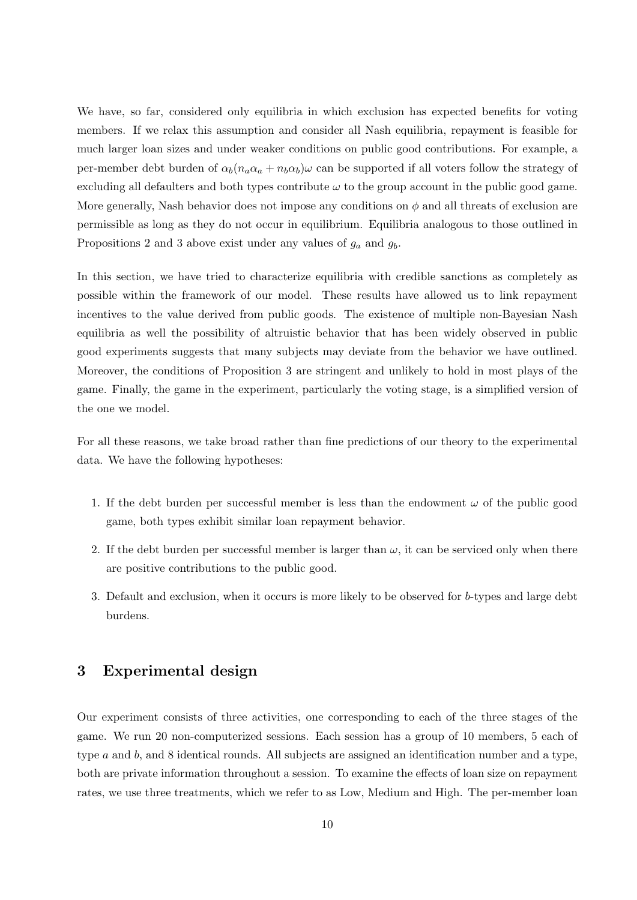We have, so far, considered only equilibria in which exclusion has expected benefits for voting members. If we relax this assumption and consider all Nash equilibria, repayment is feasible for much larger loan sizes and under weaker conditions on public good contributions. For example, a per-member debt burden of  $\alpha_b(n_a\alpha_a + n_b\alpha_b)\omega$  can be supported if all voters follow the strategy of excluding all defaulters and both types contribute  $\omega$  to the group account in the public good game. More generally, Nash behavior does not impose any conditions on  $\phi$  and all threats of exclusion are permissible as long as they do not occur in equilibrium. Equilibria analogous to those outlined in Propositions 2 and 3 above exist under any values of  $g_a$  and  $g_b$ .

In this section, we have tried to characterize equilibria with credible sanctions as completely as possible within the framework of our model. These results have allowed us to link repayment incentives to the value derived from public goods. The existence of multiple non-Bayesian Nash equilibria as well the possibility of altruistic behavior that has been widely observed in public good experiments suggests that many subjects may deviate from the behavior we have outlined. Moreover, the conditions of Proposition 3 are stringent and unlikely to hold in most plays of the game. Finally, the game in the experiment, particularly the voting stage, is a simplified version of the one we model.

For all these reasons, we take broad rather than fine predictions of our theory to the experimental data. We have the following hypotheses:

- 1. If the debt burden per successful member is less than the endowment  $\omega$  of the public good game, both types exhibit similar loan repayment behavior.
- 2. If the debt burden per successful member is larger than  $\omega$ , it can be serviced only when there are positive contributions to the public good.
- 3. Default and exclusion, when it occurs is more likely to be observed for b-types and large debt burdens.

### 3 Experimental design

Our experiment consists of three activities, one corresponding to each of the three stages of the game. We run 20 non-computerized sessions. Each session has a group of 10 members, 5 each of type a and b, and 8 identical rounds. All subjects are assigned an identification number and a type, both are private information throughout a session. To examine the effects of loan size on repayment rates, we use three treatments, which we refer to as Low, Medium and High. The per-member loan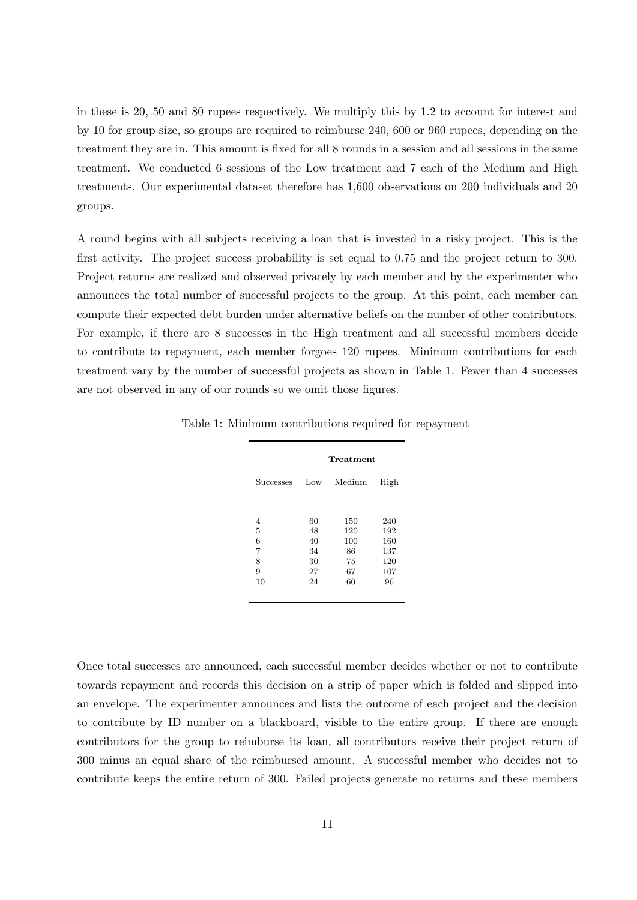in these is 20, 50 and 80 rupees respectively. We multiply this by 1.2 to account for interest and by 10 for group size, so groups are required to reimburse 240, 600 or 960 rupees, depending on the treatment they are in. This amount is fixed for all 8 rounds in a session and all sessions in the same treatment. We conducted 6 sessions of the Low treatment and 7 each of the Medium and High treatments. Our experimental dataset therefore has 1,600 observations on 200 individuals and 20 groups.

A round begins with all subjects receiving a loan that is invested in a risky project. This is the first activity. The project success probability is set equal to 0.75 and the project return to 300. Project returns are realized and observed privately by each member and by the experimenter who announces the total number of successful projects to the group. At this point, each member can compute their expected debt burden under alternative beliefs on the number of other contributors. For example, if there are 8 successes in the High treatment and all successful members decide to contribute to repayment, each member forgoes 120 rupees. Minimum contributions for each treatment vary by the number of successful projects as shown in Table 1. Fewer than 4 successes are not observed in any of our rounds so we omit those figures.

|                  | Treatment |        |      |  |  |  |  |
|------------------|-----------|--------|------|--|--|--|--|
| <b>Successes</b> | Low       | Medium | High |  |  |  |  |
|                  |           |        |      |  |  |  |  |
| 4                | 60        | 150    | 240  |  |  |  |  |
| 5                | 48        | 120    | 192  |  |  |  |  |
| 6                | 40        | 100    | 160  |  |  |  |  |
| 7                | 34        | 86     | 137  |  |  |  |  |
| 8                | 30        | 75     | 120  |  |  |  |  |
| 9                | 27        | 67     | 107  |  |  |  |  |
| 10               | 24        | 60     | 96   |  |  |  |  |
|                  |           |        |      |  |  |  |  |

Table 1: Minimum contributions required for repayment

Once total successes are announced, each successful member decides whether or not to contribute towards repayment and records this decision on a strip of paper which is folded and slipped into an envelope. The experimenter announces and lists the outcome of each project and the decision to contribute by ID number on a blackboard, visible to the entire group. If there are enough contributors for the group to reimburse its loan, all contributors receive their project return of 300 minus an equal share of the reimbursed amount. A successful member who decides not to contribute keeps the entire return of 300. Failed projects generate no returns and these members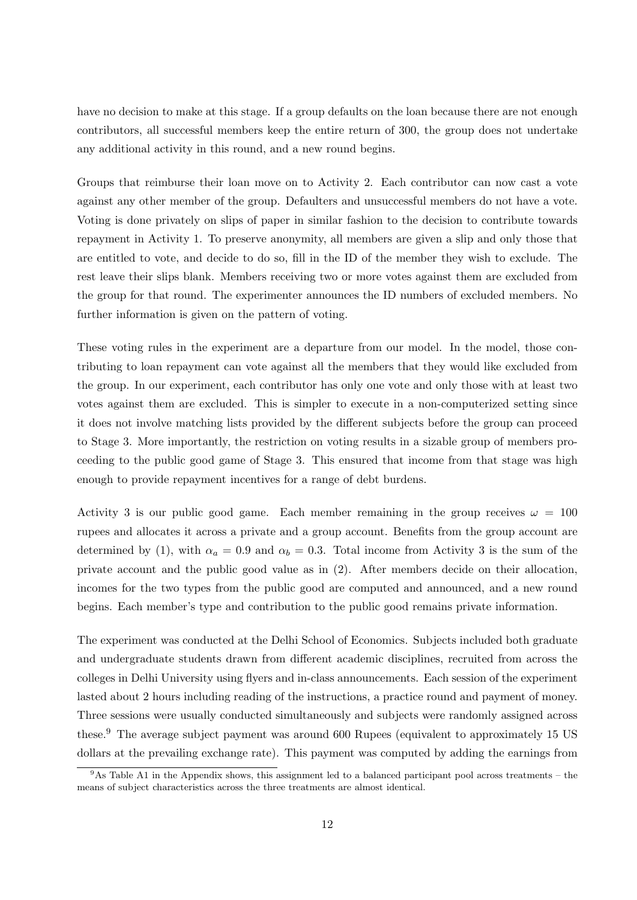have no decision to make at this stage. If a group defaults on the loan because there are not enough contributors, all successful members keep the entire return of 300, the group does not undertake any additional activity in this round, and a new round begins.

Groups that reimburse their loan move on to Activity 2. Each contributor can now cast a vote against any other member of the group. Defaulters and unsuccessful members do not have a vote. Voting is done privately on slips of paper in similar fashion to the decision to contribute towards repayment in Activity 1. To preserve anonymity, all members are given a slip and only those that are entitled to vote, and decide to do so, fill in the ID of the member they wish to exclude. The rest leave their slips blank. Members receiving two or more votes against them are excluded from the group for that round. The experimenter announces the ID numbers of excluded members. No further information is given on the pattern of voting.

These voting rules in the experiment are a departure from our model. In the model, those contributing to loan repayment can vote against all the members that they would like excluded from the group. In our experiment, each contributor has only one vote and only those with at least two votes against them are excluded. This is simpler to execute in a non-computerized setting since it does not involve matching lists provided by the different subjects before the group can proceed to Stage 3. More importantly, the restriction on voting results in a sizable group of members proceeding to the public good game of Stage 3. This ensured that income from that stage was high enough to provide repayment incentives for a range of debt burdens.

Activity 3 is our public good game. Each member remaining in the group receives  $\omega = 100$ rupees and allocates it across a private and a group account. Benefits from the group account are determined by (1), with  $\alpha_a = 0.9$  and  $\alpha_b = 0.3$ . Total income from Activity 3 is the sum of the private account and the public good value as in (2). After members decide on their allocation, incomes for the two types from the public good are computed and announced, and a new round begins. Each member's type and contribution to the public good remains private information.

The experiment was conducted at the Delhi School of Economics. Subjects included both graduate and undergraduate students drawn from different academic disciplines, recruited from across the colleges in Delhi University using flyers and in-class announcements. Each session of the experiment lasted about 2 hours including reading of the instructions, a practice round and payment of money. Three sessions were usually conducted simultaneously and subjects were randomly assigned across these.<sup>9</sup> The average subject payment was around 600 Rupees (equivalent to approximately 15 US dollars at the prevailing exchange rate). This payment was computed by adding the earnings from

 $9$ As Table A1 in the Appendix shows, this assignment led to a balanced participant pool across treatments – the means of subject characteristics across the three treatments are almost identical.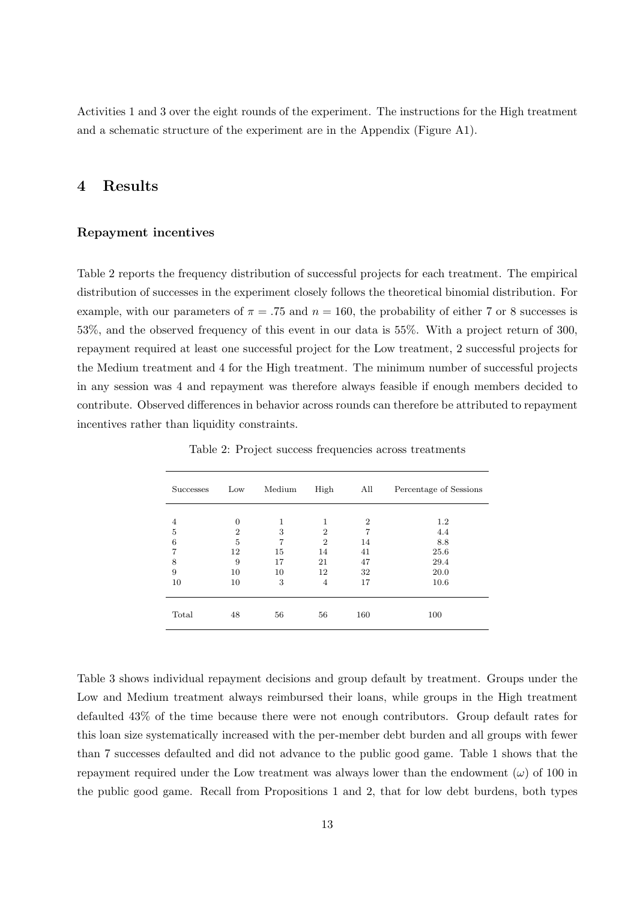Activities 1 and 3 over the eight rounds of the experiment. The instructions for the High treatment and a schematic structure of the experiment are in the Appendix (Figure A1).

### 4 Results

### Repayment incentives

Table 2 reports the frequency distribution of successful projects for each treatment. The empirical distribution of successes in the experiment closely follows the theoretical binomial distribution. For example, with our parameters of  $\pi = .75$  and  $n = 160$ , the probability of either 7 or 8 successes is 53%, and the observed frequency of this event in our data is 55%. With a project return of 300, repayment required at least one successful project for the Low treatment, 2 successful projects for the Medium treatment and 4 for the High treatment. The minimum number of successful projects in any session was 4 and repayment was therefore always feasible if enough members decided to contribute. Observed differences in behavior across rounds can therefore be attributed to repayment incentives rather than liquidity constraints.

| <b>Successes</b> | Low            | Medium | High           | All            | Percentage of Sessions |
|------------------|----------------|--------|----------------|----------------|------------------------|
|                  |                |        |                |                |                        |
| 4                | $\Omega$       | 1      | 1              | $\overline{2}$ | 1.2                    |
| 5                | $\overline{2}$ | 3      | $\overline{2}$ | 7              | 4.4                    |
| 6                | 5              | 7      | $\overline{2}$ | 14             | 8.8                    |
| 7                | 12             | 15     | 14             | 41             | 25.6                   |
| 8                | 9              | 17     | 21             | 47             | 29.4                   |
| 9                | 10             | 10     | 12             | 32             | 20.0                   |
| 10               | 10             | 3      | $\overline{4}$ | 17             | 10.6                   |
| Total            | 48             | 56     | 56             | 160            | 100                    |

Table 2: Project success frequencies across treatments

Table 3 shows individual repayment decisions and group default by treatment. Groups under the Low and Medium treatment always reimbursed their loans, while groups in the High treatment defaulted 43% of the time because there were not enough contributors. Group default rates for this loan size systematically increased with the per-member debt burden and all groups with fewer than 7 successes defaulted and did not advance to the public good game. Table 1 shows that the repayment required under the Low treatment was always lower than the endowment  $(\omega)$  of 100 in the public good game. Recall from Propositions 1 and 2, that for low debt burdens, both types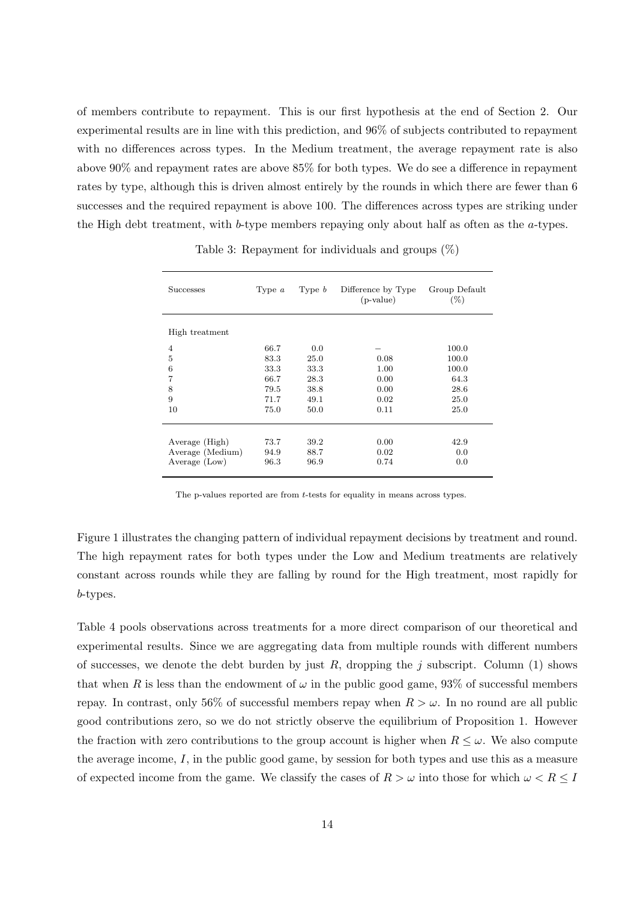of members contribute to repayment. This is our first hypothesis at the end of Section 2. Our experimental results are in line with this prediction, and 96% of subjects contributed to repayment with no differences across types. In the Medium treatment, the average repayment rate is also above 90% and repayment rates are above 85% for both types. We do see a difference in repayment rates by type, although this is driven almost entirely by the rounds in which there are fewer than 6 successes and the required repayment is above 100. The differences across types are striking under the High debt treatment, with b-type members repaying only about half as often as the a-types.

| <b>Successes</b> | Type $a$ | Type $b$ | Difference by Type<br>$(p-value)$ | Group Default<br>$(\%)$ |
|------------------|----------|----------|-----------------------------------|-------------------------|
| High treatment   |          |          |                                   |                         |
| $\overline{4}$   | 66.7     | 0.0      |                                   | 100.0                   |
| 5                | 83.3     | 25.0     | 0.08                              | 100.0                   |
| 6                | 33.3     | 33.3     | 1.00                              | 100.0                   |
| 7                | 66.7     | 28.3     | 0.00                              | 64.3                    |
| 8                | 79.5     | 38.8     | 0.00                              | 28.6                    |
| 9                | 71.7     | 49.1     | 0.02                              | 25.0                    |
| 10               | 75.0     | 50.0     | 0.11                              | 25.0                    |
|                  |          |          |                                   |                         |
| Average (High)   | 73.7     | 39.2     | 0.00                              | 42.9                    |
| Average (Medium) | 94.9     | 88.7     | 0.02                              | 0.0                     |
| Average (Low)    | 96.3     | 96.9     | 0.74                              | 0.0                     |

Table 3: Repayment for individuals and groups  $(\%)$ 

The p-values reported are from t-tests for equality in means across types.

Figure 1 illustrates the changing pattern of individual repayment decisions by treatment and round. The high repayment rates for both types under the Low and Medium treatments are relatively constant across rounds while they are falling by round for the High treatment, most rapidly for b-types.

Table 4 pools observations across treatments for a more direct comparison of our theoretical and experimental results. Since we are aggregating data from multiple rounds with different numbers of successes, we denote the debt burden by just  $R$ , dropping the j subscript. Column (1) shows that when R is less than the endowment of  $\omega$  in the public good game, 93% of successful members repay. In contrast, only 56% of successful members repay when  $R > \omega$ . In no round are all public good contributions zero, so we do not strictly observe the equilibrium of Proposition 1. However the fraction with zero contributions to the group account is higher when  $R \leq \omega$ . We also compute the average income, I, in the public good game, by session for both types and use this as a measure of expected income from the game. We classify the cases of  $R > \omega$  into those for which  $\omega < R \leq I$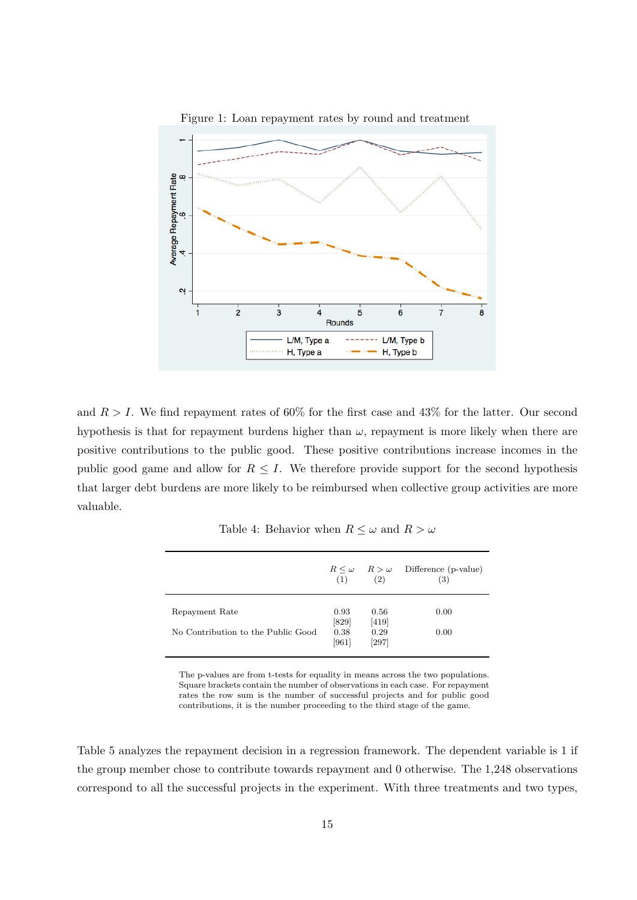

and  $R > I$ . We find repayment rates of 60% for the first case and 43% for the latter. Our second hypothesis is that for repayment burdens higher than  $\omega$ , repayment is more likely when there are positive contributions to the public good. These positive contributions increase incomes in the public good game and allow for  $R \leq I$ . We therefore provide support for the second hypothesis that larger debt burdens are more likely to be reimbursed when collective group activities are more valuable.

Table 4: Behavior when  $R \leq \omega$  and  $R > \omega$ 

|                                    | (1)             | $R \leq \omega$ $R > \omega$<br>(2) | Difference (p-value)<br>(3) |
|------------------------------------|-----------------|-------------------------------------|-----------------------------|
| Repayment Rate                     | 0.93<br>[829]   | 0.56<br>$[419]$                     | 0.00                        |
| No Contribution to the Public Good | 0.38<br>$[961]$ | 0.29<br>[297]                       | 0.00                        |

The p-values are from t-tests for equality in means across the two populations. Square brackets contain the number of observations in each case. For repayment rates the row sum is the number of successful projects and for public good contributions, it is the number proceeding to the third stage of the game.

Table 5 analyzes the repayment decision in a regression framework. The dependent variable is 1 if the group member chose to contribute towards repayment and 0 otherwise. The 1,248 observations correspond to all the successful projects in the experiment. With three treatments and two types,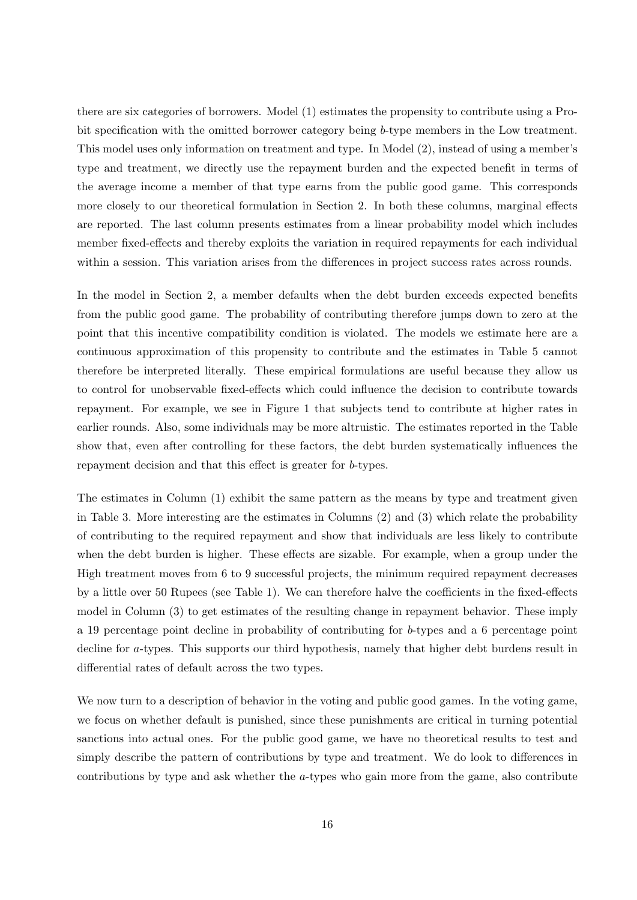there are six categories of borrowers. Model (1) estimates the propensity to contribute using a Probit specification with the omitted borrower category being b-type members in the Low treatment. This model uses only information on treatment and type. In Model (2), instead of using a member's type and treatment, we directly use the repayment burden and the expected benefit in terms of the average income a member of that type earns from the public good game. This corresponds more closely to our theoretical formulation in Section 2. In both these columns, marginal effects are reported. The last column presents estimates from a linear probability model which includes member fixed-effects and thereby exploits the variation in required repayments for each individual within a session. This variation arises from the differences in project success rates across rounds.

In the model in Section 2, a member defaults when the debt burden exceeds expected benefits from the public good game. The probability of contributing therefore jumps down to zero at the point that this incentive compatibility condition is violated. The models we estimate here are a continuous approximation of this propensity to contribute and the estimates in Table 5 cannot therefore be interpreted literally. These empirical formulations are useful because they allow us to control for unobservable fixed-effects which could influence the decision to contribute towards repayment. For example, we see in Figure 1 that subjects tend to contribute at higher rates in earlier rounds. Also, some individuals may be more altruistic. The estimates reported in the Table show that, even after controlling for these factors, the debt burden systematically influences the repayment decision and that this effect is greater for b-types.

The estimates in Column (1) exhibit the same pattern as the means by type and treatment given in Table 3. More interesting are the estimates in Columns (2) and (3) which relate the probability of contributing to the required repayment and show that individuals are less likely to contribute when the debt burden is higher. These effects are sizable. For example, when a group under the High treatment moves from 6 to 9 successful projects, the minimum required repayment decreases by a little over 50 Rupees (see Table 1). We can therefore halve the coefficients in the fixed-effects model in Column (3) to get estimates of the resulting change in repayment behavior. These imply a 19 percentage point decline in probability of contributing for b-types and a 6 percentage point decline for a-types. This supports our third hypothesis, namely that higher debt burdens result in differential rates of default across the two types.

We now turn to a description of behavior in the voting and public good games. In the voting game, we focus on whether default is punished, since these punishments are critical in turning potential sanctions into actual ones. For the public good game, we have no theoretical results to test and simply describe the pattern of contributions by type and treatment. We do look to differences in contributions by type and ask whether the a-types who gain more from the game, also contribute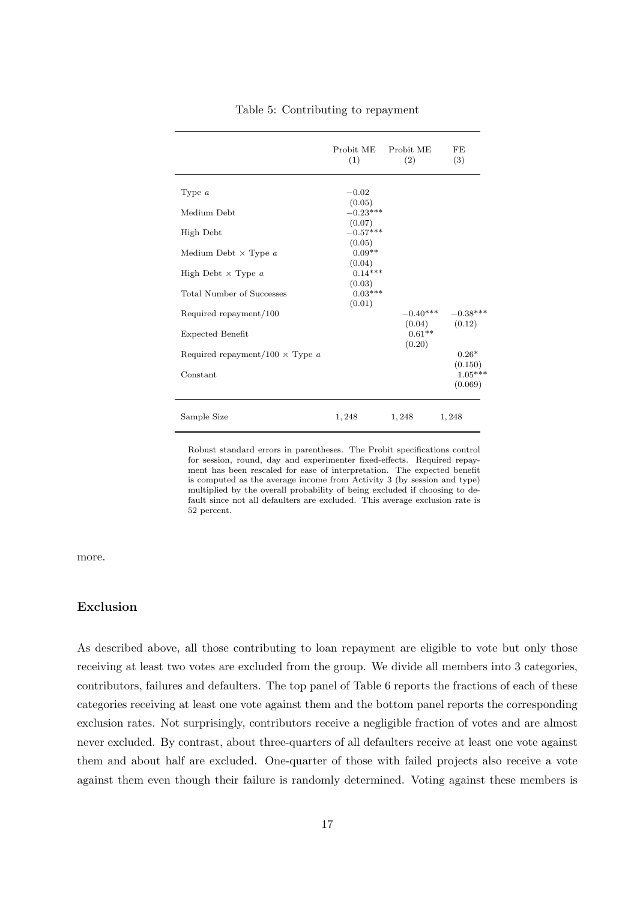|                                        | Probit ME Probit ME<br>(1)   | (2)                  | FE<br>(3)            |
|----------------------------------------|------------------------------|----------------------|----------------------|
| Type $a$                               | $-0.02$                      |                      |                      |
| Medium Debt                            | (0.05)<br>$-0.23***$         |                      |                      |
| High Debt                              | (0.07)<br>$-0.57***$         |                      |                      |
| Medium Debt $\times$ Type $a$          | (0.05)<br>$0.09**$<br>(0.04) |                      |                      |
| High Debt $\times$ Type a              | $0.14***$<br>(0.03)          |                      |                      |
| Total Number of Successes              | $0.03***$<br>(0.01)          |                      |                      |
| Required repayment/100                 |                              | $-0.40***$<br>(0.04) | $-0.38***$<br>(0.12) |
| Expected Benefit                       |                              | $0.61**$<br>(0.20)   |                      |
| Required repayment/100 $\times$ Type a |                              |                      | $0.26*$<br>(0.150)   |
| Constant                               |                              |                      | $1.05***$<br>(0.069) |
| Sample Size                            | 1,248                        | 1, 248               | 1,248                |

Table 5: Contributing to repayment

Robust standard errors in parentheses. The Probit specifications control for session, round, day and experimenter fixed-effects. Required repayment has been rescaled for ease of interpretation. The expected benefit is computed as the average income from Activity 3 (by session and type) multiplied by the overall probability of being excluded if choosing to default since not all defaulters are excluded. This average exclusion rate is 52 percent.

more.

#### Exclusion

As described above, all those contributing to loan repayment are eligible to vote but only those receiving at least two votes are excluded from the group. We divide all members into 3 categories, contributors, failures and defaulters. The top panel of Table 6 reports the fractions of each of these categories receiving at least one vote against them and the bottom panel reports the corresponding exclusion rates. Not surprisingly, contributors receive a negligible fraction of votes and are almost never excluded. By contrast, about three-quarters of all defaulters receive at least one vote against them and about half are excluded. One-quarter of those with failed projects also receive a vote against them even though their failure is randomly determined. Voting against these members is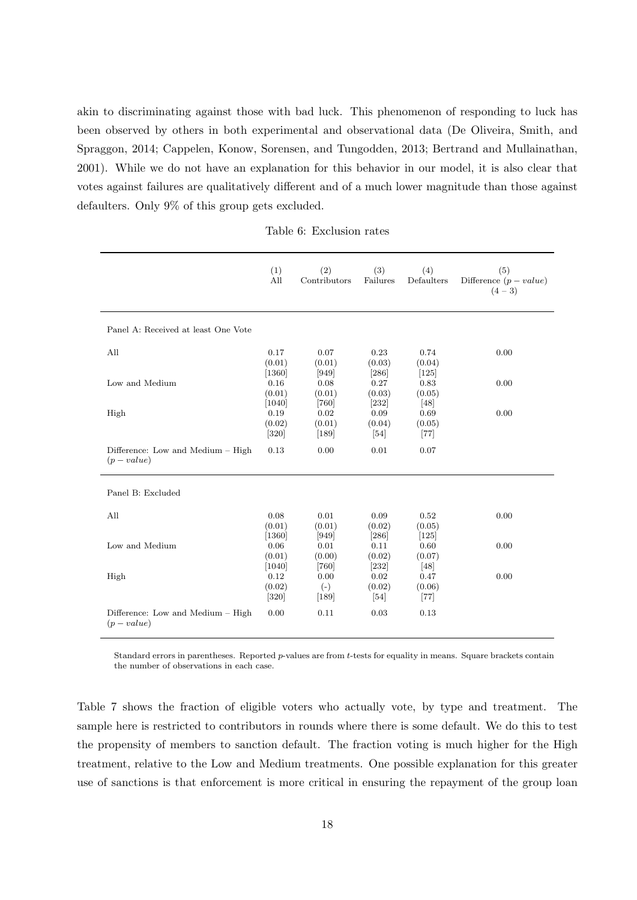akin to discriminating against those with bad luck. This phenomenon of responding to luck has been observed by others in both experimental and observational data (De Oliveira, Smith, and Spraggon, 2014; Cappelen, Konow, Sorensen, and Tungodden, 2013; Bertrand and Mullainathan, 2001). While we do not have an explanation for this behavior in our model, it is also clear that votes against failures are qualitatively different and of a much lower magnitude than those against defaulters. Only 9% of this group gets excluded.

|                                                  | (1)<br>All                 | (2)<br>Contributors       | (3)<br>Failures                     | (4)<br>Defaulters         | (5)<br>Difference $(p-value)$<br>$(4-3)$ |
|--------------------------------------------------|----------------------------|---------------------------|-------------------------------------|---------------------------|------------------------------------------|
| Panel A: Received at least One Vote              |                            |                           |                                     |                           |                                          |
| All                                              | 0.17<br>(0.01)<br>$[1360]$ | 0.07<br>(0.01)<br>$[949]$ | 0.23<br>(0.03)<br>$[286]$           | 0.74<br>(0.04)<br>$[125]$ | 0.00                                     |
| Low and Medium                                   | 0.16<br>(0.01)<br>$[1040]$ | 0.08<br>(0.01)<br>$[760]$ | 0.27<br>(0.03)<br>$[232]$           | 0.83<br>(0.05)<br>[48]    | 0.00                                     |
| High                                             | 0.19<br>(0.02)<br>$[320]$  | 0.02<br>(0.01)<br>$[189]$ | 0.09<br>(0.04)<br>$\left[54\right]$ | 0.69<br>(0.05)<br>$[77]$  | 0.00                                     |
| Difference: Low and Medium – High<br>$(p-value)$ | 0.13                       | 0.00                      | 0.01                                | 0.07                      |                                          |
| Panel B: Excluded                                |                            |                           |                                     |                           |                                          |
| All                                              | 0.08<br>(0.01)<br>$[1360]$ | 0.01<br>(0.01)<br>$[949]$ | 0.09<br>(0.02)<br>$[286]$           | 0.52<br>(0.05)<br>$[125]$ | 0.00                                     |
| Low and Medium                                   | 0.06<br>(0.01)<br>$[1040]$ | 0.01<br>(0.00)<br>$[760]$ | 0.11<br>(0.02)<br>$[232]$           | 0.60<br>(0.07)<br>[48]    | 0.00                                     |
| High                                             | 0.12<br>(0.02)<br>$[320]$  | 0.00<br>$(-)$<br>$[189]$  | 0.02<br>(0.02)<br>$[54]$            | 0.47<br>(0.06)<br>$[77]$  | 0.00                                     |
| Difference: Low and Medium – High<br>$(p-value)$ | 0.00                       | 0.11                      | 0.03                                | 0.13                      |                                          |

Standard errors in parentheses. Reported  $p$ -values are from  $t$ -tests for equality in means. Square brackets contain the number of observations in each case.

Table 7 shows the fraction of eligible voters who actually vote, by type and treatment. The sample here is restricted to contributors in rounds where there is some default. We do this to test the propensity of members to sanction default. The fraction voting is much higher for the High treatment, relative to the Low and Medium treatments. One possible explanation for this greater use of sanctions is that enforcement is more critical in ensuring the repayment of the group loan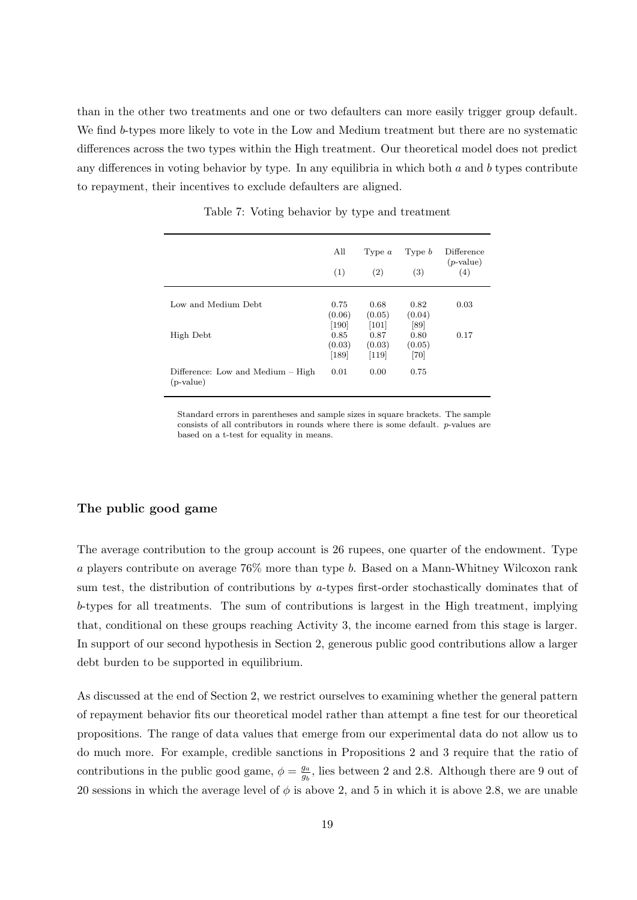than in the other two treatments and one or two defaulters can more easily trigger group default. We find b-types more likely to vote in the Low and Medium treatment but there are no systematic differences across the two types within the High treatment. Our theoretical model does not predict any differences in voting behavior by type. In any equilibria in which both  $a$  and  $b$  types contribute to repayment, their incentives to exclude defaulters are aligned.

|                                                  | All<br>(1)                | Type $a$<br>(2)                                 | Type $b$<br>(3)        | Difference<br>$(p$ -value)<br>(4) |
|--------------------------------------------------|---------------------------|-------------------------------------------------|------------------------|-----------------------------------|
| Low and Medium Debt.                             | 0.75<br>(0.06)<br>[190]   | 0.68<br>(0.05)<br>$\left\lceil 101\right\rceil$ | 0.82<br>(0.04)<br>[89] | 0.03                              |
| High Debt                                        | 0.85<br>(0.03)<br>$[189]$ | 0.87<br>(0.03)<br>$[119]$                       | 0.80<br>(0.05)<br>[70] | 0.17                              |
| Difference: Low and Medium – High<br>$(p-value)$ | 0.01                      | 0.00                                            | 0.75                   |                                   |

Table 7: Voting behavior by type and treatment

Standard errors in parentheses and sample sizes in square brackets. The sample consists of all contributors in rounds where there is some default. p-values are based on a t-test for equality in means.

### The public good game

The average contribution to the group account is 26 rupees, one quarter of the endowment. Type a players contribute on average 76% more than type b. Based on a Mann-Whitney Wilcoxon rank sum test, the distribution of contributions by a-types first-order stochastically dominates that of b-types for all treatments. The sum of contributions is largest in the High treatment, implying that, conditional on these groups reaching Activity 3, the income earned from this stage is larger. In support of our second hypothesis in Section 2, generous public good contributions allow a larger debt burden to be supported in equilibrium.

As discussed at the end of Section 2, we restrict ourselves to examining whether the general pattern of repayment behavior fits our theoretical model rather than attempt a fine test for our theoretical propositions. The range of data values that emerge from our experimental data do not allow us to do much more. For example, credible sanctions in Propositions 2 and 3 require that the ratio of contributions in the public good game,  $\phi = \frac{g_a}{g}$  $\frac{g_a}{g_b}$ , lies between 2 and 2.8. Although there are 9 out of 20 sessions in which the average level of  $\phi$  is above 2, and 5 in which it is above 2.8, we are unable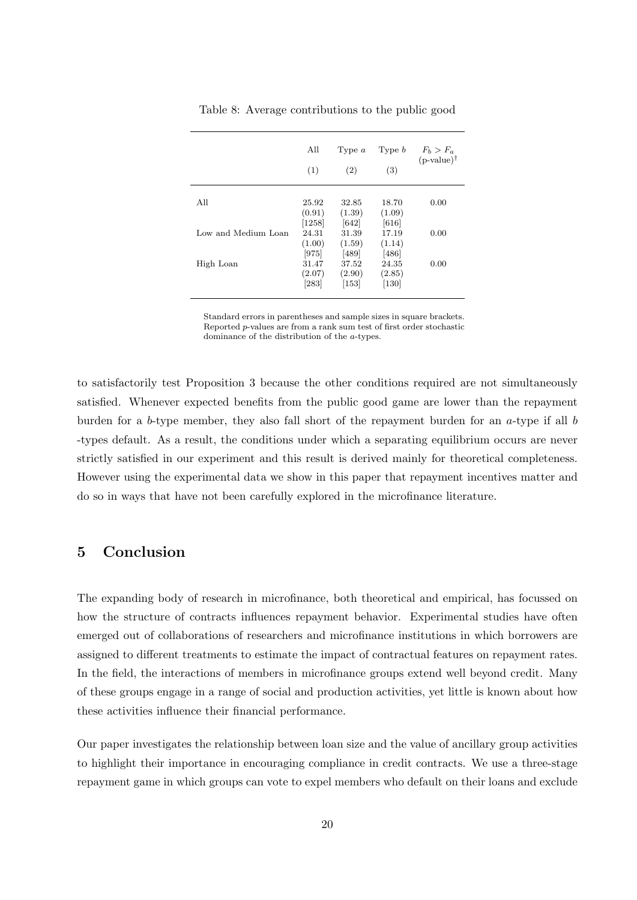|                     | All<br>(1)                        | Type $a$<br>(2)                     | Type $b$<br>(3)                       | $F_b > F_a$<br>$(p-value)$ <sup>†</sup> |
|---------------------|-----------------------------------|-------------------------------------|---------------------------------------|-----------------------------------------|
| All                 | 25.92<br>(0.91)                   | 32.85<br>(1.39)                     | 18.70<br>(1.09)                       | 0.00                                    |
| Low and Medium Loan | [1258]<br>24.31<br>(1.00)         | [642]<br>31.39<br>(1.59)            | [616]<br>17.19<br>(1.14)              | 0.00                                    |
| High Loan           | [975]<br>31.47<br>(2.07)<br>[283] | [489]<br>37.52<br>(2.90)<br>$[153]$ | $[486]$<br>24.35<br>(2.85)<br>$[130]$ | 0.00                                    |

Table 8: Average contributions to the public good

Standard errors in parentheses and sample sizes in square brackets. Reported p-values are from a rank sum test of first order stochastic dominance of the distribution of the a-types.

to satisfactorily test Proposition 3 because the other conditions required are not simultaneously satisfied. Whenever expected benefits from the public good game are lower than the repayment burden for a b-type member, they also fall short of the repayment burden for an  $a$ -type if all b -types default. As a result, the conditions under which a separating equilibrium occurs are never strictly satisfied in our experiment and this result is derived mainly for theoretical completeness. However using the experimental data we show in this paper that repayment incentives matter and do so in ways that have not been carefully explored in the microfinance literature.

## 5 Conclusion

The expanding body of research in microfinance, both theoretical and empirical, has focussed on how the structure of contracts influences repayment behavior. Experimental studies have often emerged out of collaborations of researchers and microfinance institutions in which borrowers are assigned to different treatments to estimate the impact of contractual features on repayment rates. In the field, the interactions of members in microfinance groups extend well beyond credit. Many of these groups engage in a range of social and production activities, yet little is known about how these activities influence their financial performance.

Our paper investigates the relationship between loan size and the value of ancillary group activities to highlight their importance in encouraging compliance in credit contracts. We use a three-stage repayment game in which groups can vote to expel members who default on their loans and exclude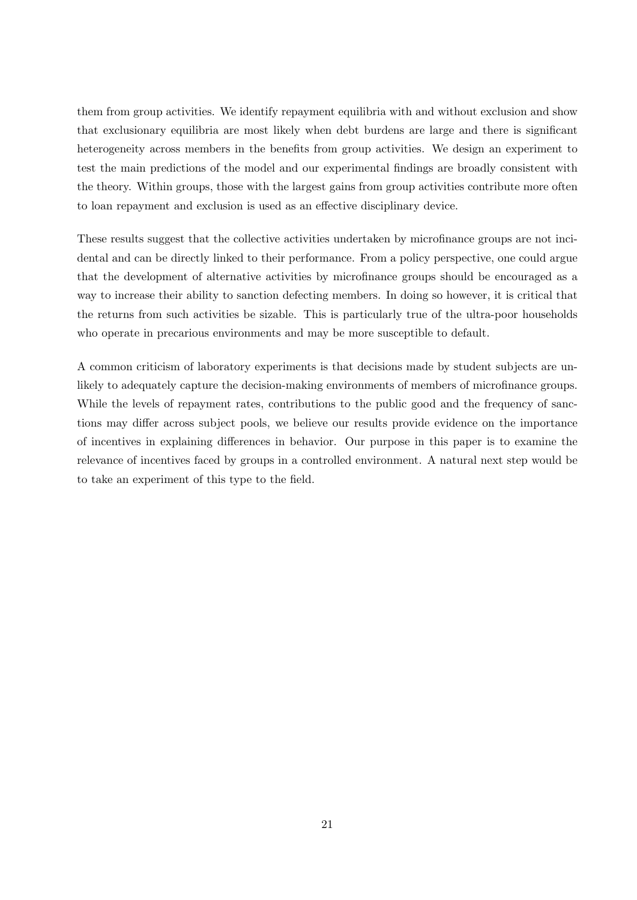them from group activities. We identify repayment equilibria with and without exclusion and show that exclusionary equilibria are most likely when debt burdens are large and there is significant heterogeneity across members in the benefits from group activities. We design an experiment to test the main predictions of the model and our experimental findings are broadly consistent with the theory. Within groups, those with the largest gains from group activities contribute more often to loan repayment and exclusion is used as an effective disciplinary device.

These results suggest that the collective activities undertaken by microfinance groups are not incidental and can be directly linked to their performance. From a policy perspective, one could argue that the development of alternative activities by microfinance groups should be encouraged as a way to increase their ability to sanction defecting members. In doing so however, it is critical that the returns from such activities be sizable. This is particularly true of the ultra-poor households who operate in precarious environments and may be more susceptible to default.

A common criticism of laboratory experiments is that decisions made by student subjects are unlikely to adequately capture the decision-making environments of members of microfinance groups. While the levels of repayment rates, contributions to the public good and the frequency of sanctions may differ across subject pools, we believe our results provide evidence on the importance of incentives in explaining differences in behavior. Our purpose in this paper is to examine the relevance of incentives faced by groups in a controlled environment. A natural next step would be to take an experiment of this type to the field.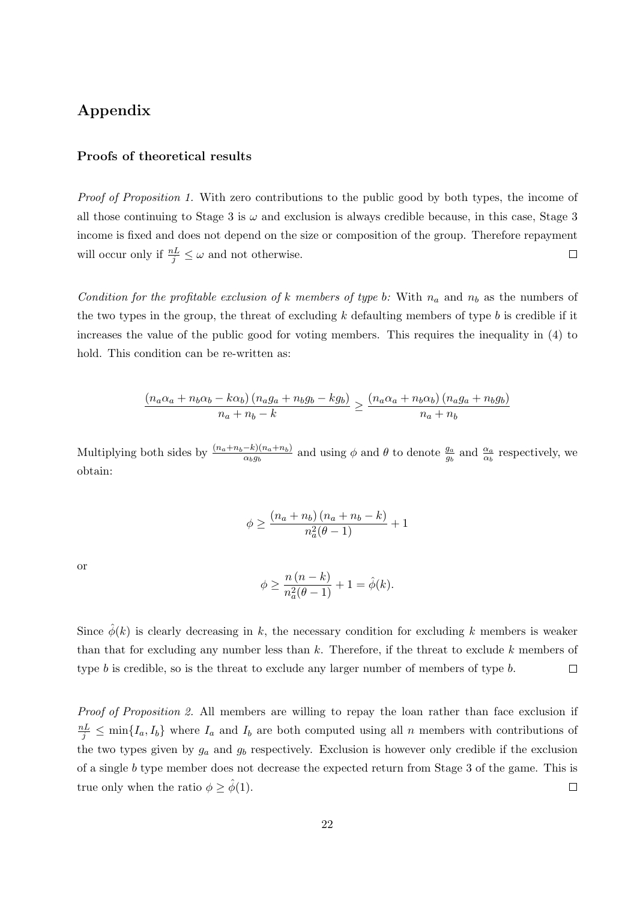## Appendix

### Proofs of theoretical results

Proof of Proposition 1. With zero contributions to the public good by both types, the income of all those continuing to Stage 3 is  $\omega$  and exclusion is always credible because, in this case, Stage 3 income is fixed and does not depend on the size or composition of the group. Therefore repayment will occur only if  $\frac{nL}{j} \leq \omega$  and not otherwise.  $\Box$ 

Condition for the profitable exclusion of k members of type b: With  $n_a$  and  $n_b$  as the numbers of the two types in the group, the threat of excluding k defaulting members of type  $b$  is credible if it increases the value of the public good for voting members. This requires the inequality in (4) to hold. This condition can be re-written as:

$$
\frac{(n_a\alpha_a + n_b\alpha_b - k\alpha_b)(n_a g_a + n_b g_b - k g_b)}{n_a + n_b - k} \ge \frac{(n_a\alpha_a + n_b\alpha_b)(n_a g_a + n_b g_b)}{n_a + n_b}
$$

Multiplying both sides by  $\frac{(n_a+n_b-k)(n_a+n_b)}{\alpha_b g_b}$  and using  $\phi$  and  $\theta$  to denote  $\frac{g_a}{g_b}$  and  $\frac{\alpha_a}{\alpha_b}$  respectively, we obtain:

$$
\phi \ge \frac{(n_a + n_b)(n_a + n_b - k)}{n_a^2(\theta - 1)} + 1
$$

or

$$
\phi \ge \frac{n(n-k)}{n_a^2(\theta - 1)} + 1 = \hat{\phi}(k).
$$

Since  $\hat{\phi}(k)$  is clearly decreasing in k, the necessary condition for excluding k members is weaker than that for excluding any number less than  $k$ . Therefore, if the threat to exclude k members of type  $b$  is credible, so is the threat to exclude any larger number of members of type  $b$ .  $\Box$ 

Proof of Proposition 2. All members are willing to repay the loan rather than face exclusion if  $\frac{nL}{j} \leq \min\{I_a, I_b\}$  where  $I_a$  and  $I_b$  are both computed using all n members with contributions of the two types given by  $g_a$  and  $g_b$  respectively. Exclusion is however only credible if the exclusion of a single b type member does not decrease the expected return from Stage 3 of the game. This is true only when the ratio  $\phi \geq \phi(1)$ .  $\Box$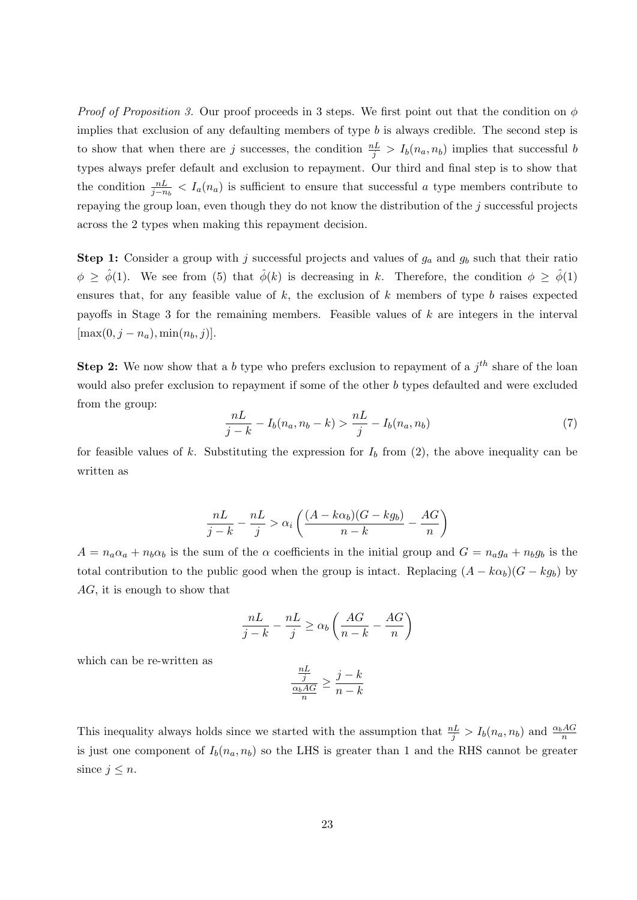*Proof of Proposition 3.* Our proof proceeds in 3 steps. We first point out that the condition on  $\phi$ implies that exclusion of any defaulting members of type  $b$  is always credible. The second step is to show that when there are j successes, the condition  $\frac{nL}{j} > I_b(n_a, n_b)$  implies that successful b types always prefer default and exclusion to repayment. Our third and final step is to show that the condition  $\frac{nL}{j-n_b} < I_a(n_a)$  is sufficient to ensure that successful a type members contribute to repaying the group loan, even though they do not know the distribution of the  $j$  successful projects across the 2 types when making this repayment decision.

**Step 1:** Consider a group with j successful projects and values of  $g_a$  and  $g_b$  such that their ratio  $\phi \geq \hat{\phi}(1)$ . We see from (5) that  $\hat{\phi}(k)$  is decreasing in k. Therefore, the condition  $\phi \geq \hat{\phi}(1)$ ensures that, for any feasible value of  $k$ , the exclusion of  $k$  members of type  $b$  raises expected payoffs in Stage 3 for the remaining members. Feasible values of k are integers in the interval  $[\max(0, j - n_a), \min(n_b, j)].$ 

**Step 2:** We now show that a b type who prefers exclusion to repayment of a  $j<sup>th</sup>$  share of the loan would also prefer exclusion to repayment if some of the other b types defaulted and were excluded from the group:

$$
\frac{nL}{j-k} - I_b(n_a, n_b - k) > \frac{nL}{j} - I_b(n_a, n_b) \tag{7}
$$

for feasible values of k. Substituting the expression for  $I<sub>b</sub>$  from (2), the above inequality can be written as

$$
\frac{nL}{j-k} - \frac{nL}{j} > \alpha_i \left( \frac{(A - k\alpha_b)(G - kg_b)}{n-k} - \frac{AG}{n} \right)
$$

 $A = n_a \alpha_a + n_b \alpha_b$  is the sum of the  $\alpha$  coefficients in the initial group and  $G = n_a g_a + n_b g_b$  is the total contribution to the public good when the group is intact. Replacing  $(A - k\alpha_b)(G - kg_b)$  by AG, it is enough to show that

$$
\frac{nL}{j-k} - \frac{nL}{j} \ge \alpha_b \left( \frac{AG}{n-k} - \frac{AG}{n} \right)
$$

which can be re-written as

$$
\frac{\frac{nL}{j}}{\frac{\alpha_b AG}{n}} \ge \frac{j-k}{n-k}
$$

This inequality always holds since we started with the assumption that  $\frac{nL}{j} > I_b(n_a, n_b)$  and  $\frac{\alpha_b A G}{n}$ is just one component of  $I_b(n_a, n_b)$  so the LHS is greater than 1 and the RHS cannot be greater since  $j \leq n$ .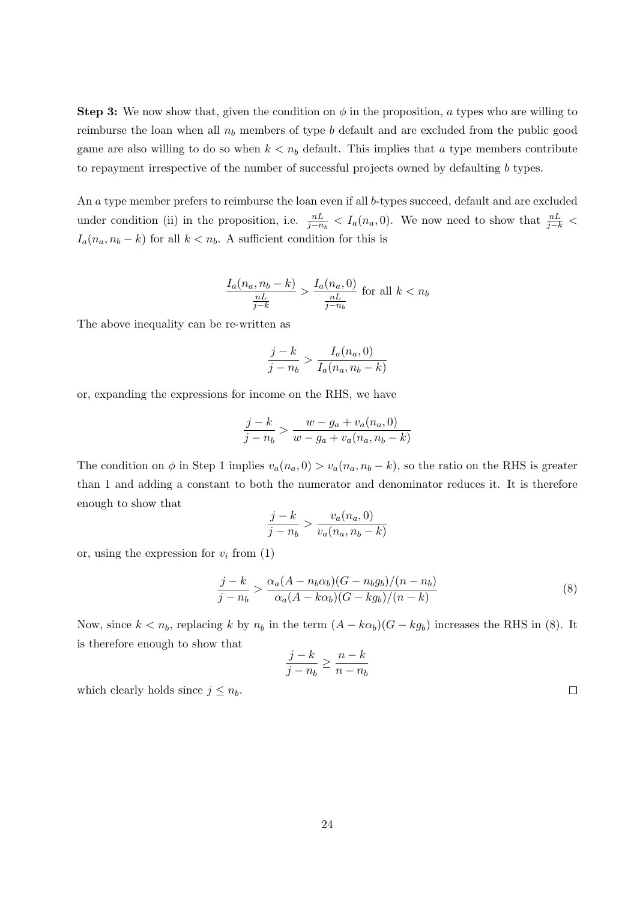**Step 3:** We now show that, given the condition on  $\phi$  in the proposition, a types who are willing to reimburse the loan when all  $n_b$  members of type b default and are excluded from the public good game are also willing to do so when  $k < n_b$  default. This implies that a type members contribute to repayment irrespective of the number of successful projects owned by defaulting b types.

An a type member prefers to reimburse the loan even if all b-types succeed, default and are excluded under condition (ii) in the proposition, i.e.  $\frac{nL}{j-n_b} < I_a(n_a, 0)$ . We now need to show that  $\frac{nL}{j-k}$  $I_a(n_a, n_b - k)$  for all  $k < n_b$ . A sufficient condition for this is

$$
\frac{I_a(n_a, n_b - k)}{\frac{nL}{j-k}} > \frac{I_a(n_a, 0)}{\frac{nL}{j - n_b}}
$$
 for all  $k < n_b$ 

The above inequality can be re-written as

$$
\frac{j-k}{j-n_b} > \frac{I_a(n_a,0)}{I_a(n_a,n_b-k)}
$$

or, expanding the expressions for income on the RHS, we have

$$
\frac{j-k}{j-n_b} > \frac{w - g_a + v_a(n_a, 0)}{w - g_a + v_a(n_a, n_b - k)}
$$

The condition on  $\phi$  in Step 1 implies  $v_a(n_a, 0) > v_a(n_a, n_b - k)$ , so the ratio on the RHS is greater than 1 and adding a constant to both the numerator and denominator reduces it. It is therefore enough to show that

$$
\frac{j-k}{j-n_b} > \frac{v_a(n_a,0)}{v_a(n_a,n_b-k)}
$$

or, using the expression for  $v_i$  from  $(1)$ 

$$
\frac{j-k}{j-n_b} > \frac{\alpha_a (A - n_b \alpha_b)(G - n_b g_b)/(n - n_b)}{\alpha_a (A - k \alpha_b)(G - k g_b)/(n - k)}\tag{8}
$$

Now, since  $k < n_b$ , replacing k by  $n_b$  in the term  $(A - k\alpha_b)(G - kg_b)$  increases the RHS in (8). It is therefore enough to show that

$$
\frac{j-k}{j-n_b} \ge \frac{n-k}{n-n_b}
$$

which clearly holds since  $j \leq n_b$ .

 $\Box$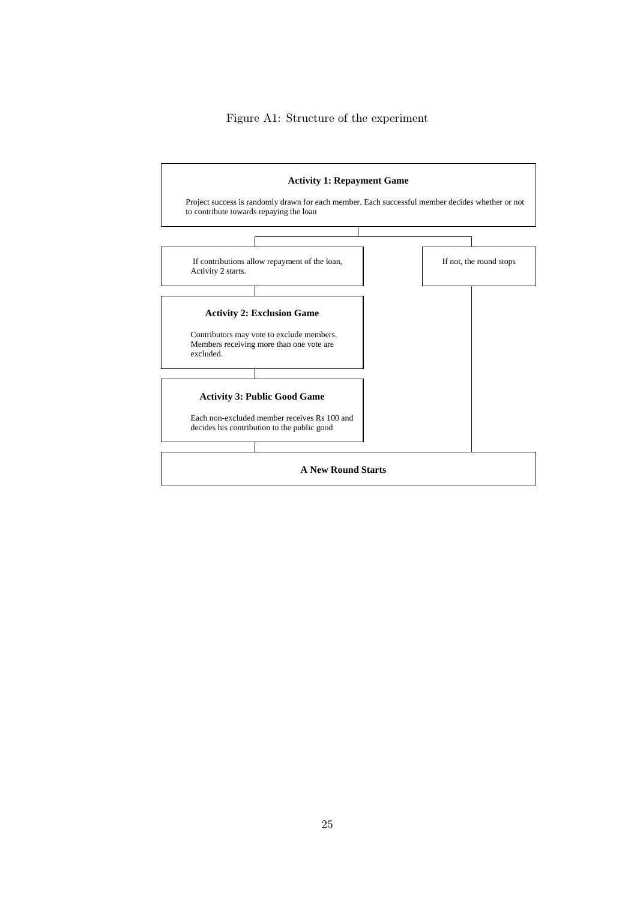Figure A1: Structure of the experiment

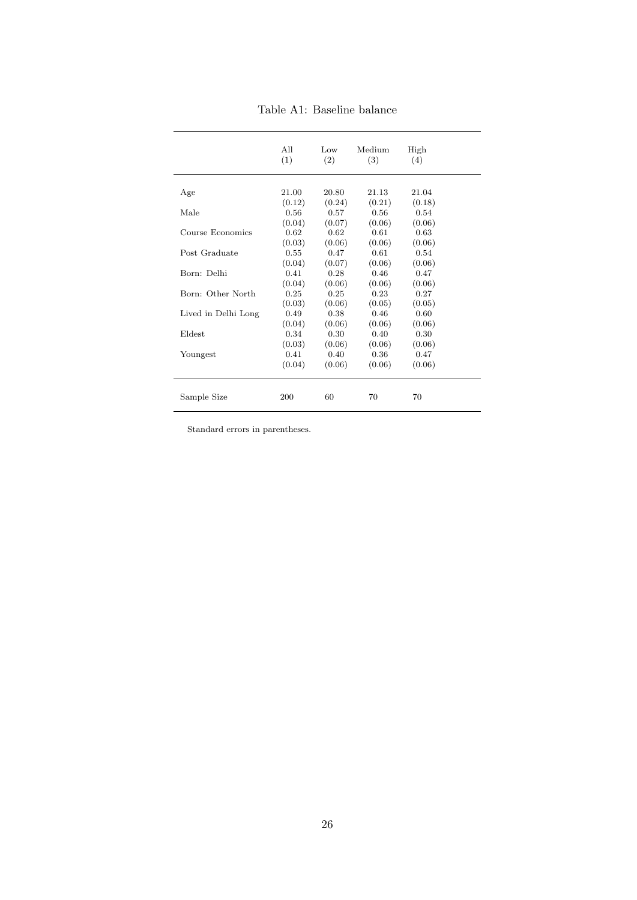|                     | All<br>(1) | Low<br>(2) | Medium<br>(3) | High<br>(4) |  |
|---------------------|------------|------------|---------------|-------------|--|
| Age                 | 21.00      | 20.80      | 21.13         | 21.04       |  |
|                     | (0.12)     | (0.24)     | (0.21)        | (0.18)      |  |
| Male                | 0.56       | 0.57       | 0.56          | 0.54        |  |
|                     | (0.04)     | (0.07)     | (0.06)        | (0.06)      |  |
| Course Economics    | 0.62       | 0.62       | 0.61          | 0.63        |  |
|                     | (0.03)     | (0.06)     | (0.06)        | (0.06)      |  |
| Post Graduate       | 0.55       | 0.47       | 0.61          | 0.54        |  |
|                     | (0.04)     | (0.07)     | (0.06)        | (0.06)      |  |
| Born: Delhi         | 0.41       | 0.28       | 0.46          | 0.47        |  |
|                     | (0.04)     | (0.06)     | (0.06)        | (0.06)      |  |
| Born: Other North   | 0.25       | 0.25       | 0.23          | 0.27        |  |
|                     | (0.03)     | (0.06)     | (0.05)        | (0.05)      |  |
| Lived in Delhi Long | 0.49       | 0.38       | 0.46          | 0.60        |  |
|                     | (0.04)     | (0.06)     | (0.06)        | (0.06)      |  |
| Eldest              | 0.34       | 0.30       | 0.40          | 0.30        |  |
|                     | (0.03)     | (0.06)     | (0.06)        | (0.06)      |  |
| Youngest            | 0.41       | 0.40       | 0.36          | 0.47        |  |
|                     | (0.04)     | (0.06)     | (0.06)        | (0.06)      |  |
| Sample Size         | 200        | 60         | 70            | 70          |  |

Table A1: Baseline balance

Standard errors in parentheses.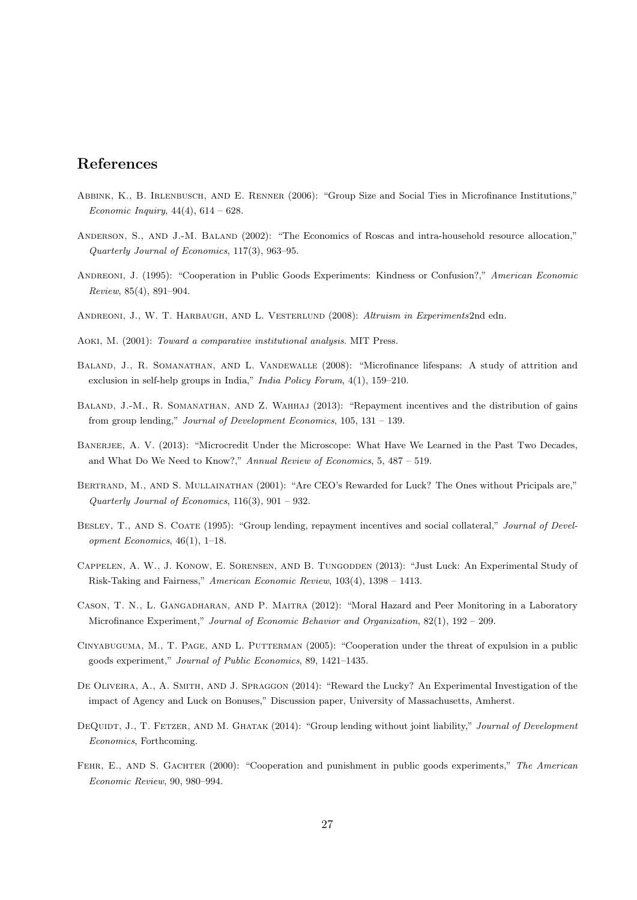## References

- Abbink, K., B. Irlenbusch, and E. Renner (2006): "Group Size and Social Ties in Microfinance Institutions," Economic Inquiry,  $44(4)$ ,  $614 - 628$ .
- ANDERSON, S., AND J.-M. BALAND (2002): "The Economics of Roscas and intra-household resource allocation," Quarterly Journal of Economics, 117(3), 963–95.
- ANDREONI, J. (1995): "Cooperation in Public Goods Experiments: Kindness or Confusion?," American Economic Review, 85(4), 891–904.
- ANDREONI, J., W. T. HARBAUGH, AND L. VESTERLUND (2008): Altruism in Experiments2nd edn.
- Aoki, M. (2001): Toward a comparative institutional analysis. MIT Press.
- Baland, J., R. Somanathan, and L. Vandewalle (2008): "Microfinance lifespans: A study of attrition and exclusion in self-help groups in India," India Policy Forum, 4(1), 159–210.
- BALAND, J.-M., R. SOMANATHAN, AND Z. WAHHAJ (2013): "Repayment incentives and the distribution of gains from group lending," Journal of Development Economics, 105, 131 – 139.
- BANERJEE, A. V. (2013): "Microcredit Under the Microscope: What Have We Learned in the Past Two Decades, and What Do We Need to Know?," Annual Review of Economics, 5, 487 – 519.
- BERTRAND, M., AND S. MULLAINATHAN (2001): "Are CEO's Rewarded for Luck? The Ones without Pricipals are," Quarterly Journal of Economics, 116(3), 901 – 932.
- BESLEY, T., AND S. COATE (1995): "Group lending, repayment incentives and social collateral," Journal of Development Economics, 46(1), 1–18.
- Cappelen, A. W., J. Konow, E. Sorensen, and B. Tungodden (2013): "Just Luck: An Experimental Study of Risk-Taking and Fairness," American Economic Review, 103(4), 1398 – 1413.
- Cason, T. N., L. Gangadharan, and P. Maitra (2012): "Moral Hazard and Peer Monitoring in a Laboratory Microfinance Experiment," Journal of Economic Behavior and Organization, 82(1), 192 – 209.
- Cinyabuguma, M., T. Page, and L. Putterman (2005): "Cooperation under the threat of expulsion in a public goods experiment," Journal of Public Economics, 89, 1421–1435.
- DE OLIVEIRA, A., A. SMITH, AND J. SPRAGGON (2014): "Reward the Lucky? An Experimental Investigation of the impact of Agency and Luck on Bonuses," Discussion paper, University of Massachusetts, Amherst.
- DEQUIDT, J., T. FETZER, AND M. GHATAK (2014): "Group lending without joint liability," Journal of Development Economics, Forthcoming.
- FEHR, E., AND S. GACHTER (2000): "Cooperation and punishment in public goods experiments," The American Economic Review, 90, 980–994.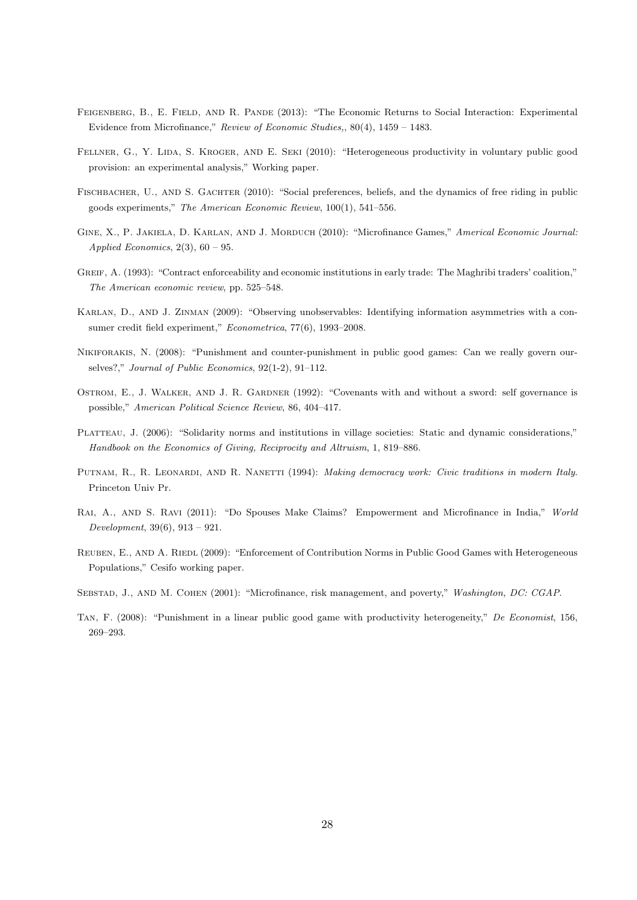- Feigenberg, B., E. Field, and R. Pande (2013): "The Economic Returns to Social Interaction: Experimental Evidence from Microfinance," Review of Economic Studies,, 80(4), 1459 – 1483.
- FELLNER, G., Y. LIDA, S. KROGER, AND E. SEKI (2010): "Heterogeneous productivity in voluntary public good provision: an experimental analysis," Working paper.
- FISCHBACHER, U., AND S. GACHTER (2010): "Social preferences, beliefs, and the dynamics of free riding in public goods experiments," The American Economic Review, 100(1), 541–556.
- GINE, X., P. JAKIELA, D. KARLAN, AND J. MORDUCH (2010): "Microfinance Games," Americal Economic Journal: Applied Economics,  $2(3)$ ,  $60 - 95$ .
- GREIF, A. (1993): "Contract enforceability and economic institutions in early trade: The Maghribi traders' coalition," The American economic review, pp. 525–548.
- Karlan, D., and J. Zinman (2009): "Observing unobservables: Identifying information asymmetries with a consumer credit field experiment," Econometrica, 77(6), 1993–2008.
- Nikiforakis, N. (2008): "Punishment and counter-punishment in public good games: Can we really govern ourselves?," Journal of Public Economics, 92(1-2), 91–112.
- Ostrom, E., J. Walker, and J. R. Gardner (1992): "Covenants with and without a sword: self governance is possible," American Political Science Review, 86, 404–417.
- PLATTEAU, J. (2006): "Solidarity norms and institutions in village societies: Static and dynamic considerations," Handbook on the Economics of Giving, Reciprocity and Altruism, 1, 819–886.
- PUTNAM, R., R. LEONARDI, AND R. NANETTI (1994): Making democracy work: Civic traditions in modern Italy. Princeton Univ Pr.
- Rai, A., and S. Ravi (2011): "Do Spouses Make Claims? Empowerment and Microfinance in India," World Development, 39(6), 913 – 921.
- REUBEN, E., AND A. RIEDL (2009): "Enforcement of Contribution Norms in Public Good Games with Heterogeneous Populations," Cesifo working paper.
- SEBSTAD, J., AND M. COHEN (2001): "Microfinance, risk management, and poverty," Washington, DC: CGAP.
- Tan, F. (2008): "Punishment in a linear public good game with productivity heterogeneity," De Economist, 156, 269–293.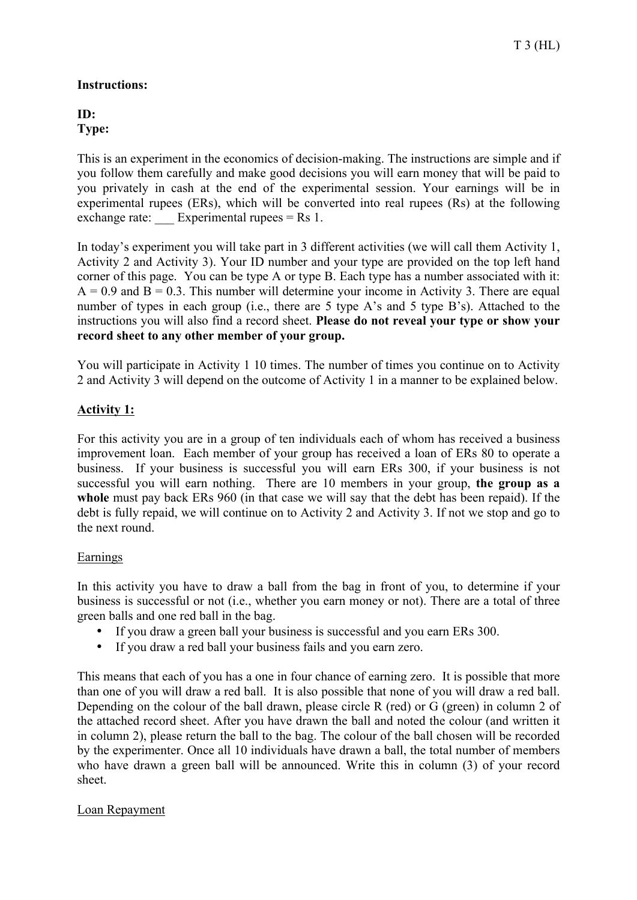## **Instructions:**

**ID: Type:**

This is an experiment in the economics of decision-making. The instructions are simple and if you follow them carefully and make good decisions you will earn money that will be paid to you privately in cash at the end of the experimental session. Your earnings will be in experimental rupees (ERs), which will be converted into real rupees (Rs) at the following exchange rate: Experimental rupees  $=$  Rs 1.

In today's experiment you will take part in 3 different activities (we will call them Activity 1, Activity 2 and Activity 3). Your ID number and your type are provided on the top left hand corner of this page. You can be type A or type B. Each type has a number associated with it:  $A = 0.9$  and  $B = 0.3$ . This number will determine your income in Activity 3. There are equal number of types in each group (i.e., there are 5 type A's and 5 type B's). Attached to the instructions you will also find a record sheet. **Please do not reveal your type or show your record sheet to any other member of your group.**

You will participate in Activity 1 10 times. The number of times you continue on to Activity 2 and Activity 3 will depend on the outcome of Activity 1 in a manner to be explained below.

## **Activity 1:**

For this activity you are in a group of ten individuals each of whom has received a business improvement loan. Each member of your group has received a loan of ERs 80 to operate a business. If your business is successful you will earn ERs 300, if your business is not successful you will earn nothing. There are 10 members in your group, **the group as a whole** must pay back ERs 960 (in that case we will say that the debt has been repaid). If the debt is fully repaid, we will continue on to Activity 2 and Activity 3. If not we stop and go to the next round.

## Earnings

In this activity you have to draw a ball from the bag in front of you, to determine if your business is successful or not (i.e., whether you earn money or not). There are a total of three green balls and one red ball in the bag.

- If you draw a green ball your business is successful and you earn ERs 300.
- If you draw a red ball your business fails and you earn zero.

This means that each of you has a one in four chance of earning zero. It is possible that more than one of you will draw a red ball. It is also possible that none of you will draw a red ball. Depending on the colour of the ball drawn, please circle R (red) or G (green) in column 2 of the attached record sheet. After you have drawn the ball and noted the colour (and written it in column 2), please return the ball to the bag. The colour of the ball chosen will be recorded by the experimenter. Once all 10 individuals have drawn a ball, the total number of members who have drawn a green ball will be announced. Write this in column (3) of your record sheet.

## Loan Repayment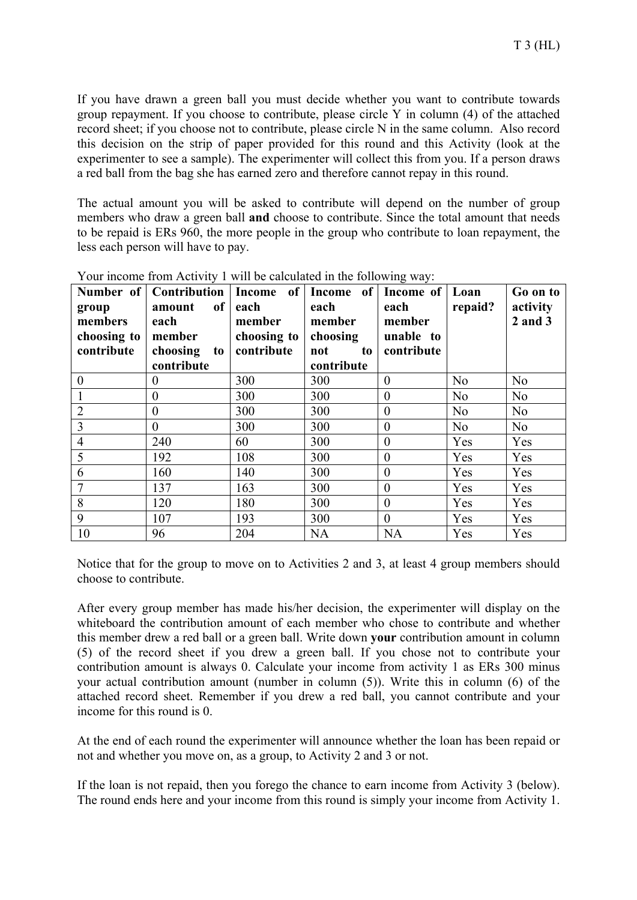If you have drawn a green ball you must decide whether you want to contribute towards group repayment. If you choose to contribute, please circle Y in column (4) of the attached record sheet; if you choose not to contribute, please circle N in the same column. Also record this decision on the strip of paper provided for this round and this Activity (look at the experimenter to see a sample). The experimenter will collect this from you. If a person draws a red ball from the bag she has earned zero and therefore cannot repay in this round.

The actual amount you will be asked to contribute will depend on the number of group members who draw a green ball **and** choose to contribute. Since the total amount that needs to be repaid is ERs 960, the more people in the group who contribute to loan repayment, the less each person will have to pay.

| group<br>members<br>choosing to<br>contribute | Number of   Contribution   Income of   Income of   Income of   Loan<br>of  <br>amount<br>each<br>member<br>choosing to<br>contribute | each<br>member<br>choosing to<br>contribute | each<br>member<br>choosing<br>not<br>to<br>contribute | each<br>member<br>unable to<br>contribute | repaid?        | Go on to<br>activity<br>$2$ and $3$ |
|-----------------------------------------------|--------------------------------------------------------------------------------------------------------------------------------------|---------------------------------------------|-------------------------------------------------------|-------------------------------------------|----------------|-------------------------------------|
| $\boldsymbol{0}$                              | $\theta$                                                                                                                             | 300                                         | 300                                                   | $\theta$                                  | N <sub>o</sub> | N <sub>o</sub>                      |
| $\mathbf{1}$                                  | $\theta$                                                                                                                             | 300                                         | 300                                                   | $\theta$                                  | N <sub>o</sub> | N <sub>o</sub>                      |
| $\overline{2}$                                | $\overline{0}$                                                                                                                       | 300                                         | 300                                                   | $\overline{0}$                            | N <sub>o</sub> | N <sub>o</sub>                      |
| $\overline{3}$                                | $\overline{0}$                                                                                                                       | 300                                         | 300                                                   | $\boldsymbol{0}$                          | N <sub>o</sub> | N <sub>o</sub>                      |
| $\overline{4}$                                | 240                                                                                                                                  | 60                                          | 300                                                   | $\boldsymbol{0}$                          | Yes            | Yes                                 |
| 5                                             | 192                                                                                                                                  | 108                                         | 300                                                   | $\boldsymbol{0}$                          | Yes            | Yes                                 |
| 6                                             | 160                                                                                                                                  | 140                                         | 300                                                   | $\theta$                                  | Yes            | Yes                                 |
| $\overline{7}$                                | 137                                                                                                                                  | 163                                         | 300                                                   | $\boldsymbol{0}$                          | Yes            | Yes                                 |
| 8                                             | 120                                                                                                                                  | 180                                         | 300                                                   | $\boldsymbol{0}$                          | Yes            | Yes                                 |
| 9                                             | 107                                                                                                                                  | 193                                         | 300                                                   | $\theta$                                  | Yes            | Yes                                 |
| 10                                            | 96                                                                                                                                   | 204                                         | <b>NA</b>                                             | <b>NA</b>                                 | Yes            | Yes                                 |

Your income from Activity 1 will be calculated in the following way:

Notice that for the group to move on to Activities 2 and 3, at least 4 group members should choose to contribute.

After every group member has made his/her decision, the experimenter will display on the whiteboard the contribution amount of each member who chose to contribute and whether this member drew a red ball or a green ball. Write down **your** contribution amount in column (5) of the record sheet if you drew a green ball. If you chose not to contribute your contribution amount is always 0. Calculate your income from activity 1 as ERs 300 minus your actual contribution amount (number in column (5)). Write this in column (6) of the attached record sheet. Remember if you drew a red ball, you cannot contribute and your income for this round is 0.

At the end of each round the experimenter will announce whether the loan has been repaid or not and whether you move on, as a group, to Activity 2 and 3 or not.

If the loan is not repaid, then you forego the chance to earn income from Activity 3 (below). The round ends here and your income from this round is simply your income from Activity 1.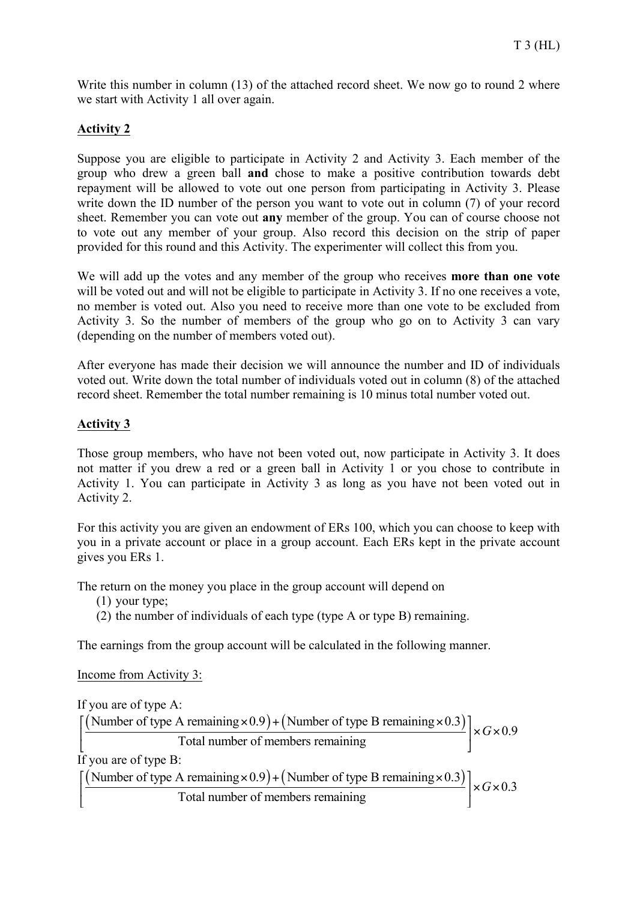Write this number in column (13) of the attached record sheet. We now go to round 2 where we start with Activity 1 all over again.

## **Activity 2**

Suppose you are eligible to participate in Activity 2 and Activity 3. Each member of the group who drew a green ball **and** chose to make a positive contribution towards debt repayment will be allowed to vote out one person from participating in Activity 3. Please write down the ID number of the person you want to vote out in column (7) of your record sheet. Remember you can vote out **any** member of the group. You can of course choose not to vote out any member of your group. Also record this decision on the strip of paper provided for this round and this Activity. The experimenter will collect this from you.

We will add up the votes and any member of the group who receives **more than one vote** will be voted out and will not be eligible to participate in Activity 3. If no one receives a vote, no member is voted out. Also you need to receive more than one vote to be excluded from Activity 3. So the number of members of the group who go on to Activity 3 can vary (depending on the number of members voted out).

After everyone has made their decision we will announce the number and ID of individuals voted out. Write down the total number of individuals voted out in column (8) of the attached record sheet. Remember the total number remaining is 10 minus total number voted out.

## **Activity 3**

Those group members, who have not been voted out, now participate in Activity 3. It does not matter if you drew a red or a green ball in Activity 1 or you chose to contribute in Activity 1. You can participate in Activity 3 as long as you have not been voted out in Activity 2.

For this activity you are given an endowment of ERs 100, which you can choose to keep with you in a private account or place in a group account. Each ERs kept in the private account gives you ERs 1.

The return on the money you place in the group account will depend on

(1) your type;

(2) the number of individuals of each type (type A or type B) remaining.

The earnings from the group account will be calculated in the following manner.

Income from Activity 3:

If you are of type A:

 $\left[\frac{(\text{Number of type A remaining} \times 0.9) + (\text{Number of type B remaining} \times 0.3)}{\text{Total number of members remaining}}\right] \times G \times 0.9$ Total number of members remaining  $\lbrack$  1 Otal number of members remaining If you are of type B: (Number of type A remaining  $\times$  0.9) + (Number of type B remaining  $\times$  0.3)  $\left[\times G \times 0.3\right]$ Total number of members remaining  $\left[\frac{\text{(Number of type A remaining} \times 0.9) + \text{(Number of type B remaining} \times 0.3)}{\text{Total number of members remaining}}\right] \times G \times$  $\lbrack$  1 Otal number of members remaining